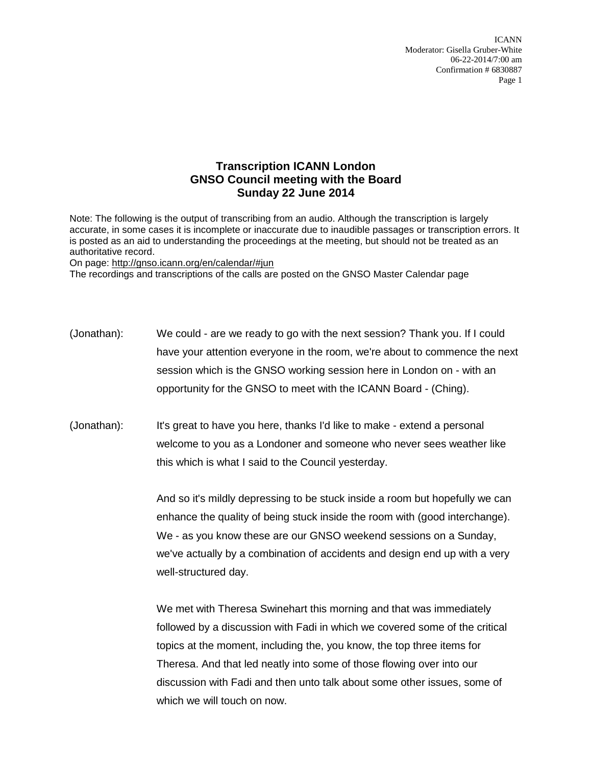ICANN Moderator: Gisella Gruber-White 06-22-2014/7:00 am Confirmation # 6830887 Page 1

## **Transcription ICANN London GNSO Council meeting with the Board Sunday 22 June 2014**

Note: The following is the output of transcribing from an audio. Although the transcription is largely accurate, in some cases it is incomplete or inaccurate due to inaudible passages or transcription errors. It is posted as an aid to understanding the proceedings at the meeting, but should not be treated as an authoritative record.

On page:<http://gnso.icann.org/en/calendar/#jun>

The recordings and transcriptions of the calls are posted on the GNSO Master Calendar page

- (Jonathan): We could are we ready to go with the next session? Thank you. If I could have your attention everyone in the room, we're about to commence the next session which is the GNSO working session here in London on - with an opportunity for the GNSO to meet with the ICANN Board - (Ching).
- (Jonathan): It's great to have you here, thanks I'd like to make extend a personal welcome to you as a Londoner and someone who never sees weather like this which is what I said to the Council yesterday.

And so it's mildly depressing to be stuck inside a room but hopefully we can enhance the quality of being stuck inside the room with (good interchange). We - as you know these are our GNSO weekend sessions on a Sunday, we've actually by a combination of accidents and design end up with a very well-structured day.

We met with Theresa Swinehart this morning and that was immediately followed by a discussion with Fadi in which we covered some of the critical topics at the moment, including the, you know, the top three items for Theresa. And that led neatly into some of those flowing over into our discussion with Fadi and then unto talk about some other issues, some of which we will touch on now.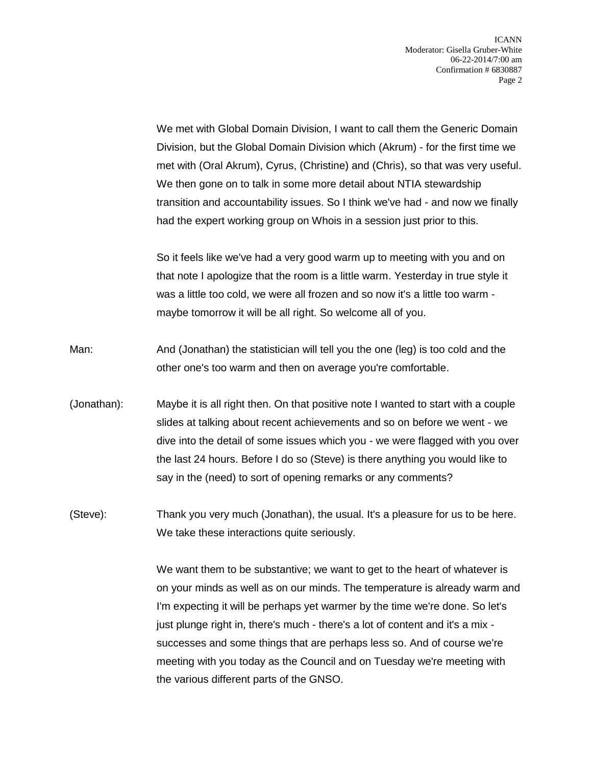We met with Global Domain Division, I want to call them the Generic Domain Division, but the Global Domain Division which (Akrum) - for the first time we met with (Oral Akrum), Cyrus, (Christine) and (Chris), so that was very useful. We then gone on to talk in some more detail about NTIA stewardship transition and accountability issues. So I think we've had - and now we finally had the expert working group on Whois in a session just prior to this.

So it feels like we've had a very good warm up to meeting with you and on that note I apologize that the room is a little warm. Yesterday in true style it was a little too cold, we were all frozen and so now it's a little too warm maybe tomorrow it will be all right. So welcome all of you.

- Man: And (Jonathan) the statistician will tell you the one (leg) is too cold and the other one's too warm and then on average you're comfortable.
- (Jonathan): Maybe it is all right then. On that positive note I wanted to start with a couple slides at talking about recent achievements and so on before we went - we dive into the detail of some issues which you - we were flagged with you over the last 24 hours. Before I do so (Steve) is there anything you would like to say in the (need) to sort of opening remarks or any comments?
- (Steve): Thank you very much (Jonathan), the usual. It's a pleasure for us to be here. We take these interactions quite seriously.

We want them to be substantive; we want to get to the heart of whatever is on your minds as well as on our minds. The temperature is already warm and I'm expecting it will be perhaps yet warmer by the time we're done. So let's just plunge right in, there's much - there's a lot of content and it's a mix successes and some things that are perhaps less so. And of course we're meeting with you today as the Council and on Tuesday we're meeting with the various different parts of the GNSO.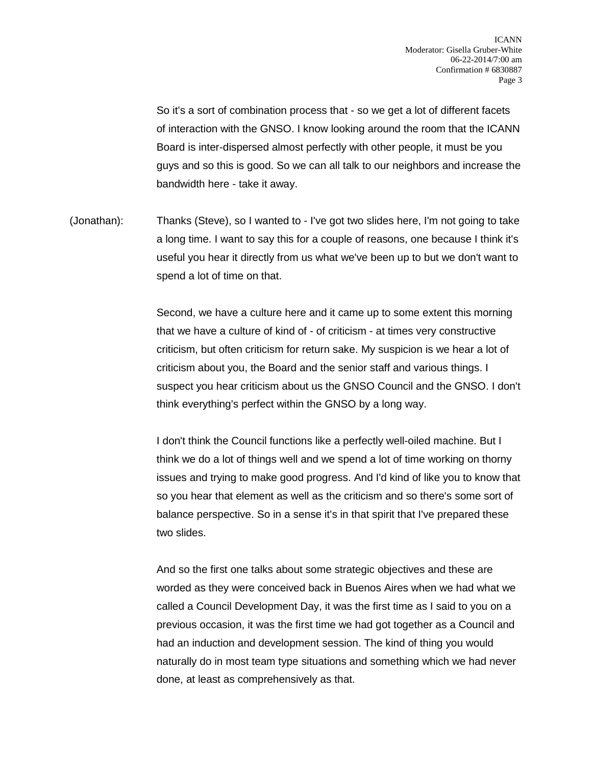So it's a sort of combination process that - so we get a lot of different facets of interaction with the GNSO. I know looking around the room that the ICANN Board is inter-dispersed almost perfectly with other people, it must be you guys and so this is good. So we can all talk to our neighbors and increase the bandwidth here - take it away.

(Jonathan): Thanks (Steve), so I wanted to - I've got two slides here, I'm not going to take a long time. I want to say this for a couple of reasons, one because I think it's useful you hear it directly from us what we've been up to but we don't want to spend a lot of time on that.

> Second, we have a culture here and it came up to some extent this morning that we have a culture of kind of - of criticism - at times very constructive criticism, but often criticism for return sake. My suspicion is we hear a lot of criticism about you, the Board and the senior staff and various things. I suspect you hear criticism about us the GNSO Council and the GNSO. I don't think everything's perfect within the GNSO by a long way.

> I don't think the Council functions like a perfectly well-oiled machine. But I think we do a lot of things well and we spend a lot of time working on thorny issues and trying to make good progress. And I'd kind of like you to know that so you hear that element as well as the criticism and so there's some sort of balance perspective. So in a sense it's in that spirit that I've prepared these two slides.

And so the first one talks about some strategic objectives and these are worded as they were conceived back in Buenos Aires when we had what we called a Council Development Day, it was the first time as I said to you on a previous occasion, it was the first time we had got together as a Council and had an induction and development session. The kind of thing you would naturally do in most team type situations and something which we had never done, at least as comprehensively as that.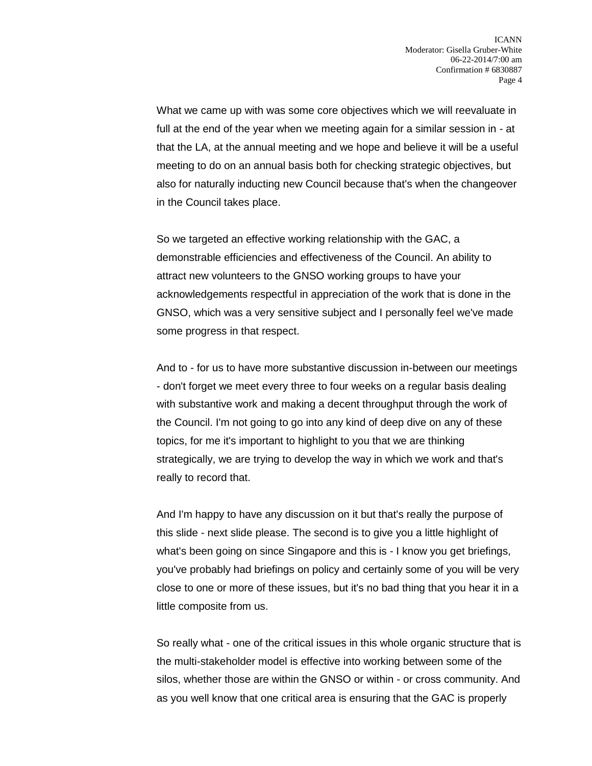What we came up with was some core objectives which we will reevaluate in full at the end of the year when we meeting again for a similar session in - at that the LA, at the annual meeting and we hope and believe it will be a useful meeting to do on an annual basis both for checking strategic objectives, but also for naturally inducting new Council because that's when the changeover in the Council takes place.

So we targeted an effective working relationship with the GAC, a demonstrable efficiencies and effectiveness of the Council. An ability to attract new volunteers to the GNSO working groups to have your acknowledgements respectful in appreciation of the work that is done in the GNSO, which was a very sensitive subject and I personally feel we've made some progress in that respect.

And to - for us to have more substantive discussion in-between our meetings - don't forget we meet every three to four weeks on a regular basis dealing with substantive work and making a decent throughput through the work of the Council. I'm not going to go into any kind of deep dive on any of these topics, for me it's important to highlight to you that we are thinking strategically, we are trying to develop the way in which we work and that's really to record that.

And I'm happy to have any discussion on it but that's really the purpose of this slide - next slide please. The second is to give you a little highlight of what's been going on since Singapore and this is - I know you get briefings, you've probably had briefings on policy and certainly some of you will be very close to one or more of these issues, but it's no bad thing that you hear it in a little composite from us.

So really what - one of the critical issues in this whole organic structure that is the multi-stakeholder model is effective into working between some of the silos, whether those are within the GNSO or within - or cross community. And as you well know that one critical area is ensuring that the GAC is properly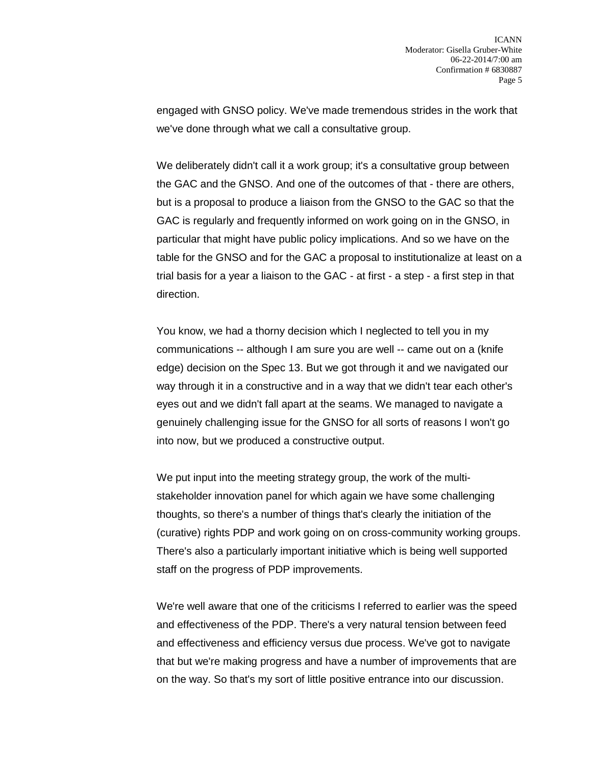engaged with GNSO policy. We've made tremendous strides in the work that we've done through what we call a consultative group.

We deliberately didn't call it a work group; it's a consultative group between the GAC and the GNSO. And one of the outcomes of that - there are others, but is a proposal to produce a liaison from the GNSO to the GAC so that the GAC is regularly and frequently informed on work going on in the GNSO, in particular that might have public policy implications. And so we have on the table for the GNSO and for the GAC a proposal to institutionalize at least on a trial basis for a year a liaison to the GAC - at first - a step - a first step in that direction.

You know, we had a thorny decision which I neglected to tell you in my communications -- although I am sure you are well -- came out on a (knife edge) decision on the Spec 13. But we got through it and we navigated our way through it in a constructive and in a way that we didn't tear each other's eyes out and we didn't fall apart at the seams. We managed to navigate a genuinely challenging issue for the GNSO for all sorts of reasons I won't go into now, but we produced a constructive output.

We put input into the meeting strategy group, the work of the multistakeholder innovation panel for which again we have some challenging thoughts, so there's a number of things that's clearly the initiation of the (curative) rights PDP and work going on on cross-community working groups. There's also a particularly important initiative which is being well supported staff on the progress of PDP improvements.

We're well aware that one of the criticisms I referred to earlier was the speed and effectiveness of the PDP. There's a very natural tension between feed and effectiveness and efficiency versus due process. We've got to navigate that but we're making progress and have a number of improvements that are on the way. So that's my sort of little positive entrance into our discussion.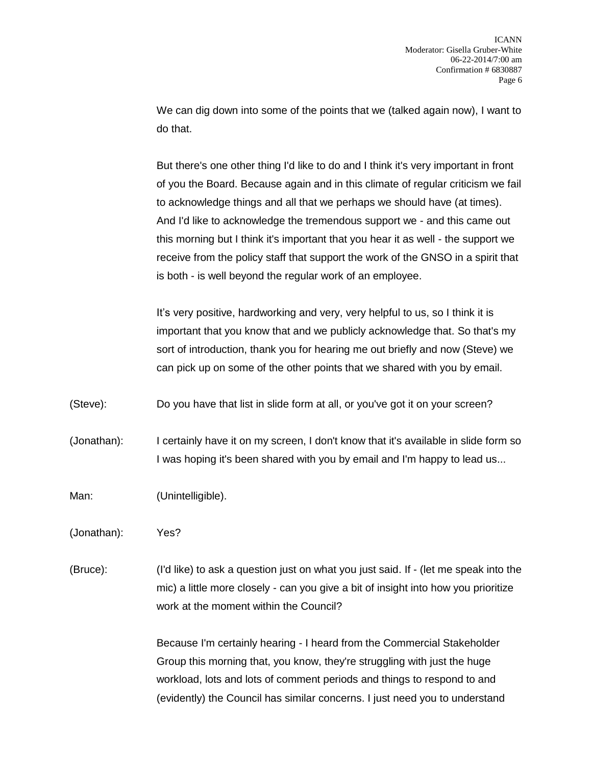We can dig down into some of the points that we (talked again now), I want to do that.

But there's one other thing I'd like to do and I think it's very important in front of you the Board. Because again and in this climate of regular criticism we fail to acknowledge things and all that we perhaps we should have (at times). And I'd like to acknowledge the tremendous support we - and this came out this morning but I think it's important that you hear it as well - the support we receive from the policy staff that support the work of the GNSO in a spirit that is both - is well beyond the regular work of an employee.

It's very positive, hardworking and very, very helpful to us, so I think it is important that you know that and we publicly acknowledge that. So that's my sort of introduction, thank you for hearing me out briefly and now (Steve) we can pick up on some of the other points that we shared with you by email.

(Steve): Do you have that list in slide form at all, or you've got it on your screen?

(Jonathan): I certainly have it on my screen, I don't know that it's available in slide form so I was hoping it's been shared with you by email and I'm happy to lead us...

Man: (Unintelligible).

(Jonathan): Yes?

(Bruce): (I'd like) to ask a question just on what you just said. If - (let me speak into the mic) a little more closely - can you give a bit of insight into how you prioritize work at the moment within the Council?

> Because I'm certainly hearing - I heard from the Commercial Stakeholder Group this morning that, you know, they're struggling with just the huge workload, lots and lots of comment periods and things to respond to and (evidently) the Council has similar concerns. I just need you to understand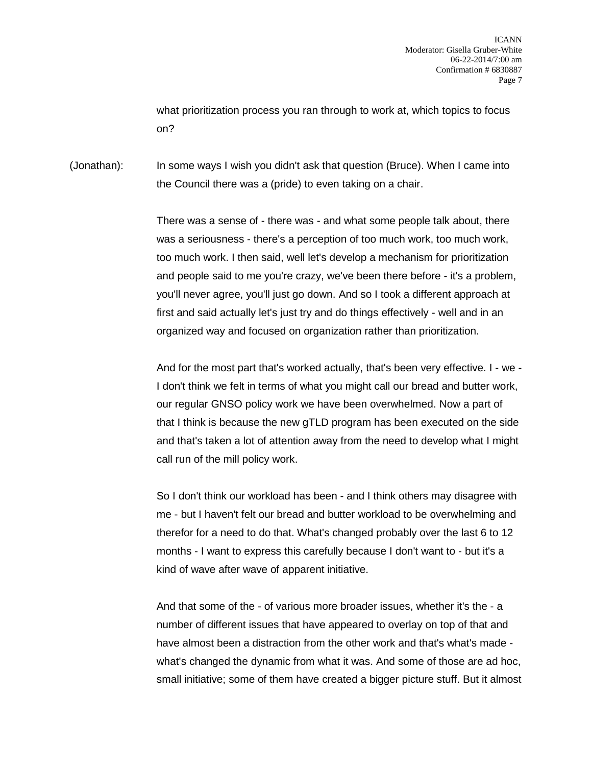what prioritization process you ran through to work at, which topics to focus on?

(Jonathan): In some ways I wish you didn't ask that question (Bruce). When I came into the Council there was a (pride) to even taking on a chair.

> There was a sense of - there was - and what some people talk about, there was a seriousness - there's a perception of too much work, too much work, too much work. I then said, well let's develop a mechanism for prioritization and people said to me you're crazy, we've been there before - it's a problem, you'll never agree, you'll just go down. And so I took a different approach at first and said actually let's just try and do things effectively - well and in an organized way and focused on organization rather than prioritization.

And for the most part that's worked actually, that's been very effective. I - we - I don't think we felt in terms of what you might call our bread and butter work, our regular GNSO policy work we have been overwhelmed. Now a part of that I think is because the new gTLD program has been executed on the side and that's taken a lot of attention away from the need to develop what I might call run of the mill policy work.

So I don't think our workload has been - and I think others may disagree with me - but I haven't felt our bread and butter workload to be overwhelming and therefor for a need to do that. What's changed probably over the last 6 to 12 months - I want to express this carefully because I don't want to - but it's a kind of wave after wave of apparent initiative.

And that some of the - of various more broader issues, whether it's the - a number of different issues that have appeared to overlay on top of that and have almost been a distraction from the other work and that's what's made what's changed the dynamic from what it was. And some of those are ad hoc, small initiative; some of them have created a bigger picture stuff. But it almost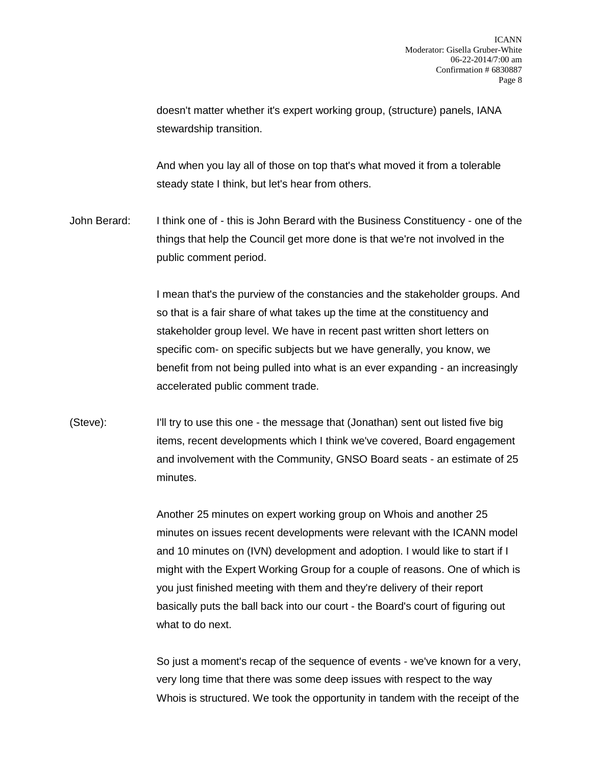doesn't matter whether it's expert working group, (structure) panels, IANA stewardship transition.

And when you lay all of those on top that's what moved it from a tolerable steady state I think, but let's hear from others.

John Berard: I think one of - this is John Berard with the Business Constituency - one of the things that help the Council get more done is that we're not involved in the public comment period.

> I mean that's the purview of the constancies and the stakeholder groups. And so that is a fair share of what takes up the time at the constituency and stakeholder group level. We have in recent past written short letters on specific com- on specific subjects but we have generally, you know, we benefit from not being pulled into what is an ever expanding - an increasingly accelerated public comment trade.

(Steve): I'll try to use this one - the message that (Jonathan) sent out listed five big items, recent developments which I think we've covered, Board engagement and involvement with the Community, GNSO Board seats - an estimate of 25 minutes.

> Another 25 minutes on expert working group on Whois and another 25 minutes on issues recent developments were relevant with the ICANN model and 10 minutes on (IVN) development and adoption. I would like to start if I might with the Expert Working Group for a couple of reasons. One of which is you just finished meeting with them and they're delivery of their report basically puts the ball back into our court - the Board's court of figuring out what to do next.

> So just a moment's recap of the sequence of events - we've known for a very, very long time that there was some deep issues with respect to the way Whois is structured. We took the opportunity in tandem with the receipt of the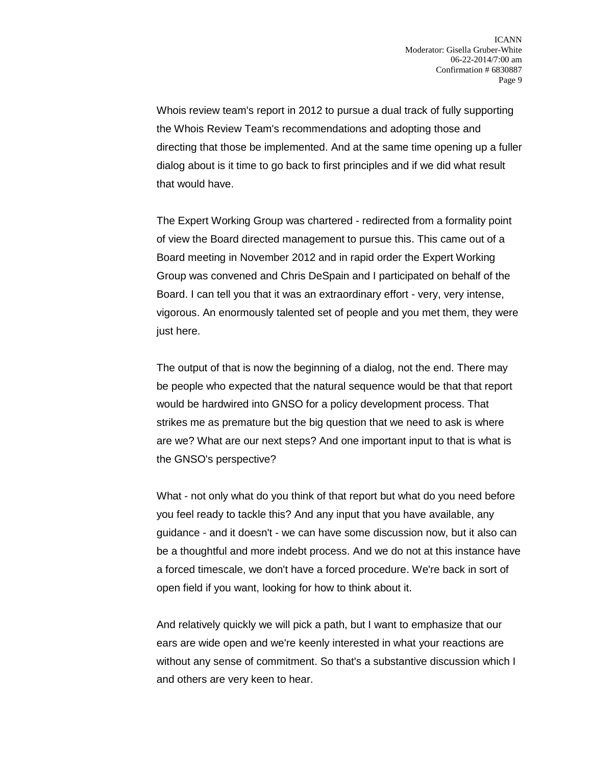Whois review team's report in 2012 to pursue a dual track of fully supporting the Whois Review Team's recommendations and adopting those and directing that those be implemented. And at the same time opening up a fuller dialog about is it time to go back to first principles and if we did what result that would have.

The Expert Working Group was chartered - redirected from a formality point of view the Board directed management to pursue this. This came out of a Board meeting in November 2012 and in rapid order the Expert Working Group was convened and Chris DeSpain and I participated on behalf of the Board. I can tell you that it was an extraordinary effort - very, very intense, vigorous. An enormously talented set of people and you met them, they were just here.

The output of that is now the beginning of a dialog, not the end. There may be people who expected that the natural sequence would be that that report would be hardwired into GNSO for a policy development process. That strikes me as premature but the big question that we need to ask is where are we? What are our next steps? And one important input to that is what is the GNSO's perspective?

What - not only what do you think of that report but what do you need before you feel ready to tackle this? And any input that you have available, any guidance - and it doesn't - we can have some discussion now, but it also can be a thoughtful and more indebt process. And we do not at this instance have a forced timescale, we don't have a forced procedure. We're back in sort of open field if you want, looking for how to think about it.

And relatively quickly we will pick a path, but I want to emphasize that our ears are wide open and we're keenly interested in what your reactions are without any sense of commitment. So that's a substantive discussion which I and others are very keen to hear.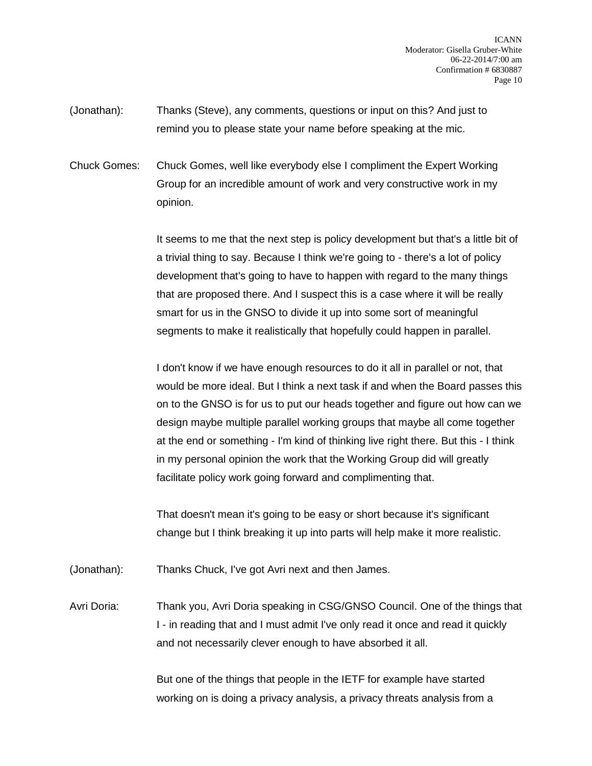- (Jonathan): Thanks (Steve), any comments, questions or input on this? And just to remind you to please state your name before speaking at the mic.
- Chuck Gomes: Chuck Gomes, well like everybody else I compliment the Expert Working Group for an incredible amount of work and very constructive work in my opinion.

It seems to me that the next step is policy development but that's a little bit of a trivial thing to say. Because I think we're going to - there's a lot of policy development that's going to have to happen with regard to the many things that are proposed there. And I suspect this is a case where it will be really smart for us in the GNSO to divide it up into some sort of meaningful segments to make it realistically that hopefully could happen in parallel.

I don't know if we have enough resources to do it all in parallel or not, that would be more ideal. But I think a next task if and when the Board passes this on to the GNSO is for us to put our heads together and figure out how can we design maybe multiple parallel working groups that maybe all come together at the end or something - I'm kind of thinking live right there. But this - I think in my personal opinion the work that the Working Group did will greatly facilitate policy work going forward and complimenting that.

That doesn't mean it's going to be easy or short because it's significant change but I think breaking it up into parts will help make it more realistic.

- (Jonathan): Thanks Chuck, I've got Avri next and then James.
- Avri Doria: Thank you, Avri Doria speaking in CSG/GNSO Council. One of the things that I - in reading that and I must admit I've only read it once and read it quickly and not necessarily clever enough to have absorbed it all.

But one of the things that people in the IETF for example have started working on is doing a privacy analysis, a privacy threats analysis from a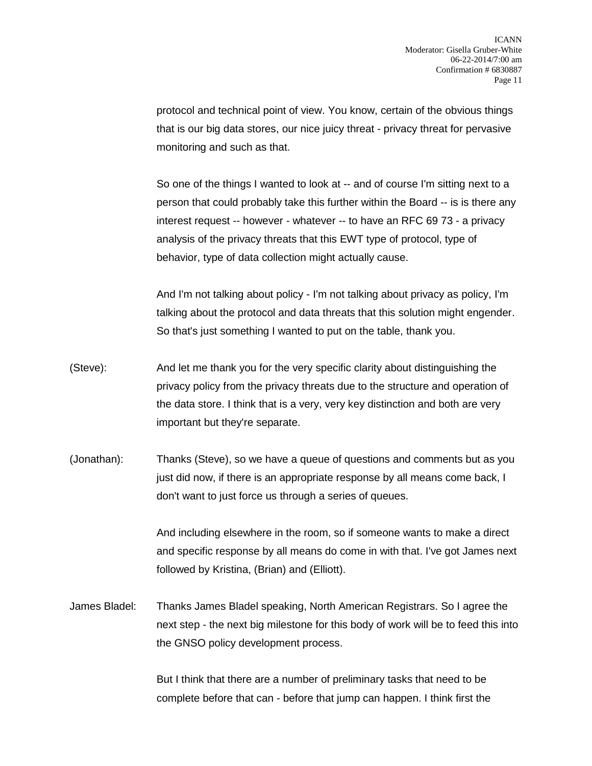protocol and technical point of view. You know, certain of the obvious things that is our big data stores, our nice juicy threat - privacy threat for pervasive monitoring and such as that.

So one of the things I wanted to look at -- and of course I'm sitting next to a person that could probably take this further within the Board -- is is there any interest request -- however - whatever -- to have an RFC 69 73 - a privacy analysis of the privacy threats that this EWT type of protocol, type of behavior, type of data collection might actually cause.

And I'm not talking about policy - I'm not talking about privacy as policy, I'm talking about the protocol and data threats that this solution might engender. So that's just something I wanted to put on the table, thank you.

- (Steve): And let me thank you for the very specific clarity about distinguishing the privacy policy from the privacy threats due to the structure and operation of the data store. I think that is a very, very key distinction and both are very important but they're separate.
- (Jonathan): Thanks (Steve), so we have a queue of questions and comments but as you just did now, if there is an appropriate response by all means come back, I don't want to just force us through a series of queues.

And including elsewhere in the room, so if someone wants to make a direct and specific response by all means do come in with that. I've got James next followed by Kristina, (Brian) and (Elliott).

James Bladel: Thanks James Bladel speaking, North American Registrars. So I agree the next step - the next big milestone for this body of work will be to feed this into the GNSO policy development process.

> But I think that there are a number of preliminary tasks that need to be complete before that can - before that jump can happen. I think first the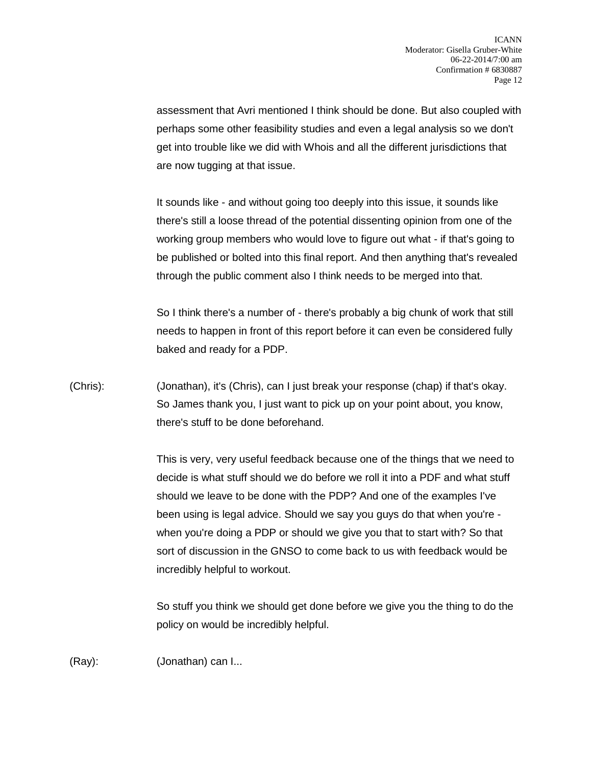assessment that Avri mentioned I think should be done. But also coupled with perhaps some other feasibility studies and even a legal analysis so we don't get into trouble like we did with Whois and all the different jurisdictions that are now tugging at that issue.

It sounds like - and without going too deeply into this issue, it sounds like there's still a loose thread of the potential dissenting opinion from one of the working group members who would love to figure out what - if that's going to be published or bolted into this final report. And then anything that's revealed through the public comment also I think needs to be merged into that.

So I think there's a number of - there's probably a big chunk of work that still needs to happen in front of this report before it can even be considered fully baked and ready for a PDP.

(Chris): (Jonathan), it's (Chris), can I just break your response (chap) if that's okay. So James thank you, I just want to pick up on your point about, you know, there's stuff to be done beforehand.

> This is very, very useful feedback because one of the things that we need to decide is what stuff should we do before we roll it into a PDF and what stuff should we leave to be done with the PDP? And one of the examples I've been using is legal advice. Should we say you guys do that when you're when you're doing a PDP or should we give you that to start with? So that sort of discussion in the GNSO to come back to us with feedback would be incredibly helpful to workout.

> So stuff you think we should get done before we give you the thing to do the policy on would be incredibly helpful.

(Ray): (Jonathan) can I...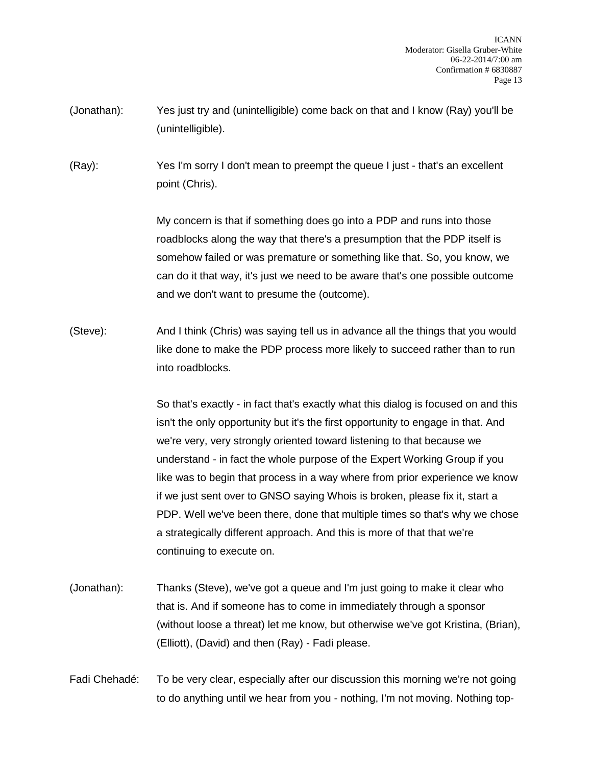- (Jonathan): Yes just try and (unintelligible) come back on that and I know (Ray) you'll be (unintelligible).
- (Ray): Yes I'm sorry I don't mean to preempt the queue I just that's an excellent point (Chris).

My concern is that if something does go into a PDP and runs into those roadblocks along the way that there's a presumption that the PDP itself is somehow failed or was premature or something like that. So, you know, we can do it that way, it's just we need to be aware that's one possible outcome and we don't want to presume the (outcome).

(Steve): And I think (Chris) was saying tell us in advance all the things that you would like done to make the PDP process more likely to succeed rather than to run into roadblocks.

> So that's exactly - in fact that's exactly what this dialog is focused on and this isn't the only opportunity but it's the first opportunity to engage in that. And we're very, very strongly oriented toward listening to that because we understand - in fact the whole purpose of the Expert Working Group if you like was to begin that process in a way where from prior experience we know if we just sent over to GNSO saying Whois is broken, please fix it, start a PDP. Well we've been there, done that multiple times so that's why we chose a strategically different approach. And this is more of that that we're continuing to execute on.

- (Jonathan): Thanks (Steve), we've got a queue and I'm just going to make it clear who that is. And if someone has to come in immediately through a sponsor (without loose a threat) let me know, but otherwise we've got Kristina, (Brian), (Elliott), (David) and then (Ray) - Fadi please.
- Fadi Chehadé: To be very clear, especially after our discussion this morning we're not going to do anything until we hear from you - nothing, I'm not moving. Nothing top-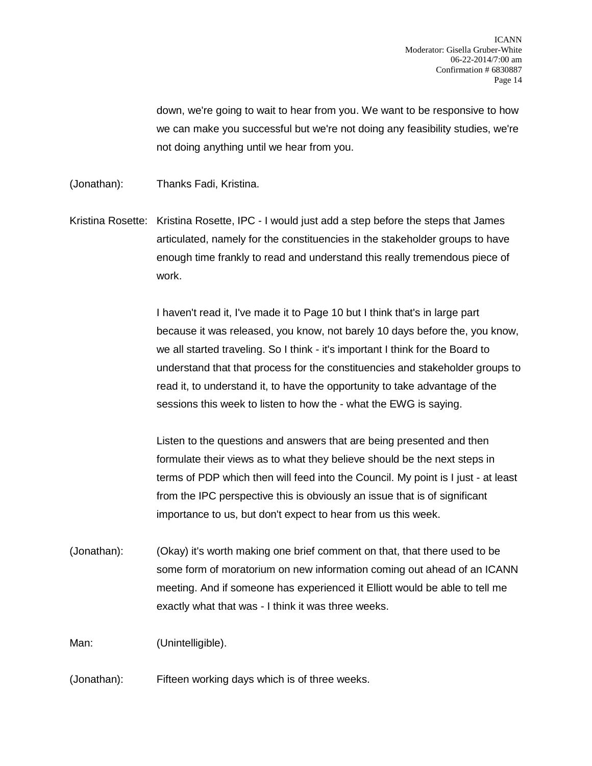down, we're going to wait to hear from you. We want to be responsive to how we can make you successful but we're not doing any feasibility studies, we're not doing anything until we hear from you.

(Jonathan): Thanks Fadi, Kristina.

Kristina Rosette: Kristina Rosette, IPC - I would just add a step before the steps that James articulated, namely for the constituencies in the stakeholder groups to have enough time frankly to read and understand this really tremendous piece of work.

> I haven't read it, I've made it to Page 10 but I think that's in large part because it was released, you know, not barely 10 days before the, you know, we all started traveling. So I think - it's important I think for the Board to understand that that process for the constituencies and stakeholder groups to read it, to understand it, to have the opportunity to take advantage of the sessions this week to listen to how the - what the EWG is saying.

> Listen to the questions and answers that are being presented and then formulate their views as to what they believe should be the next steps in terms of PDP which then will feed into the Council. My point is I just - at least from the IPC perspective this is obviously an issue that is of significant importance to us, but don't expect to hear from us this week.

(Jonathan): (Okay) it's worth making one brief comment on that, that there used to be some form of moratorium on new information coming out ahead of an ICANN meeting. And if someone has experienced it Elliott would be able to tell me exactly what that was - I think it was three weeks.

Man: (Unintelligible).

(Jonathan): Fifteen working days which is of three weeks.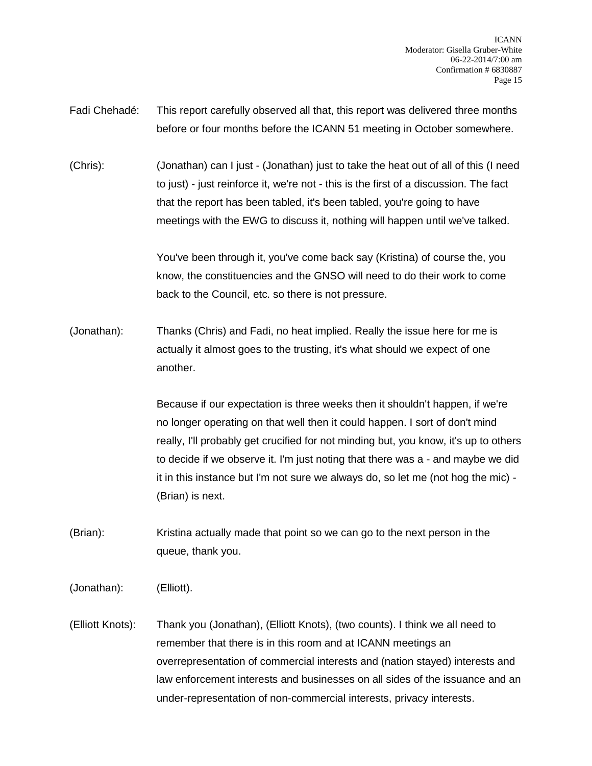Fadi Chehadé: This report carefully observed all that, this report was delivered three months before or four months before the ICANN 51 meeting in October somewhere.

(Chris): (Jonathan) can I just - (Jonathan) just to take the heat out of all of this (I need to just) - just reinforce it, we're not - this is the first of a discussion. The fact that the report has been tabled, it's been tabled, you're going to have meetings with the EWG to discuss it, nothing will happen until we've talked.

> You've been through it, you've come back say (Kristina) of course the, you know, the constituencies and the GNSO will need to do their work to come back to the Council, etc. so there is not pressure.

(Jonathan): Thanks (Chris) and Fadi, no heat implied. Really the issue here for me is actually it almost goes to the trusting, it's what should we expect of one another.

> Because if our expectation is three weeks then it shouldn't happen, if we're no longer operating on that well then it could happen. I sort of don't mind really, I'll probably get crucified for not minding but, you know, it's up to others to decide if we observe it. I'm just noting that there was a - and maybe we did it in this instance but I'm not sure we always do, so let me (not hog the mic) - (Brian) is next.

- (Brian): Kristina actually made that point so we can go to the next person in the queue, thank you.
- (Jonathan): (Elliott).
- (Elliott Knots): Thank you (Jonathan), (Elliott Knots), (two counts). I think we all need to remember that there is in this room and at ICANN meetings an overrepresentation of commercial interests and (nation stayed) interests and law enforcement interests and businesses on all sides of the issuance and an under-representation of non-commercial interests, privacy interests.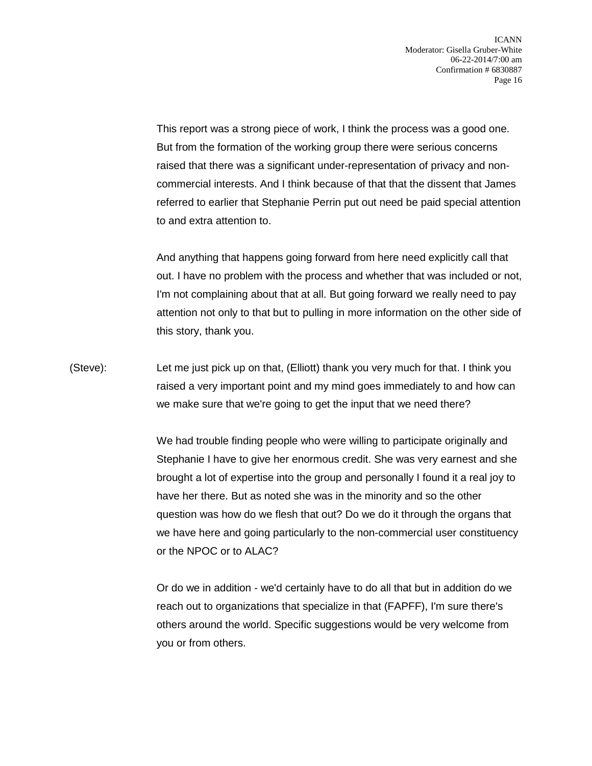This report was a strong piece of work, I think the process was a good one. But from the formation of the working group there were serious concerns raised that there was a significant under-representation of privacy and noncommercial interests. And I think because of that that the dissent that James referred to earlier that Stephanie Perrin put out need be paid special attention to and extra attention to.

And anything that happens going forward from here need explicitly call that out. I have no problem with the process and whether that was included or not, I'm not complaining about that at all. But going forward we really need to pay attention not only to that but to pulling in more information on the other side of this story, thank you.

(Steve): Let me just pick up on that, (Elliott) thank you very much for that. I think you raised a very important point and my mind goes immediately to and how can we make sure that we're going to get the input that we need there?

> We had trouble finding people who were willing to participate originally and Stephanie I have to give her enormous credit. She was very earnest and she brought a lot of expertise into the group and personally I found it a real joy to have her there. But as noted she was in the minority and so the other question was how do we flesh that out? Do we do it through the organs that we have here and going particularly to the non-commercial user constituency or the NPOC or to ALAC?

Or do we in addition - we'd certainly have to do all that but in addition do we reach out to organizations that specialize in that (FAPFF), I'm sure there's others around the world. Specific suggestions would be very welcome from you or from others.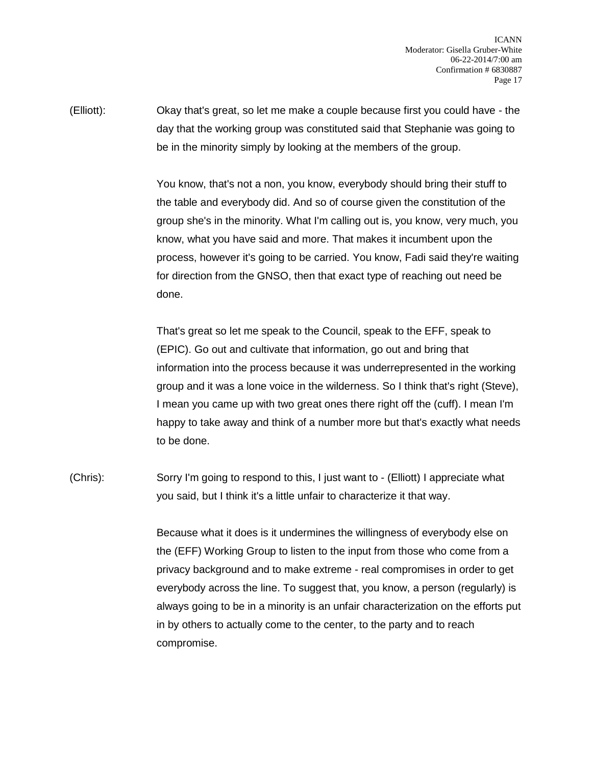ICANN Moderator: Gisella Gruber-White 06-22-2014/7:00 am Confirmation # 6830887 Page 17

(Elliott): Okay that's great, so let me make a couple because first you could have - the day that the working group was constituted said that Stephanie was going to be in the minority simply by looking at the members of the group.

> You know, that's not a non, you know, everybody should bring their stuff to the table and everybody did. And so of course given the constitution of the group she's in the minority. What I'm calling out is, you know, very much, you know, what you have said and more. That makes it incumbent upon the process, however it's going to be carried. You know, Fadi said they're waiting for direction from the GNSO, then that exact type of reaching out need be done.

> That's great so let me speak to the Council, speak to the EFF, speak to (EPIC). Go out and cultivate that information, go out and bring that information into the process because it was underrepresented in the working group and it was a lone voice in the wilderness. So I think that's right (Steve), I mean you came up with two great ones there right off the (cuff). I mean I'm happy to take away and think of a number more but that's exactly what needs to be done.

(Chris): Sorry I'm going to respond to this, I just want to - (Elliott) I appreciate what you said, but I think it's a little unfair to characterize it that way.

> Because what it does is it undermines the willingness of everybody else on the (EFF) Working Group to listen to the input from those who come from a privacy background and to make extreme - real compromises in order to get everybody across the line. To suggest that, you know, a person (regularly) is always going to be in a minority is an unfair characterization on the efforts put in by others to actually come to the center, to the party and to reach compromise.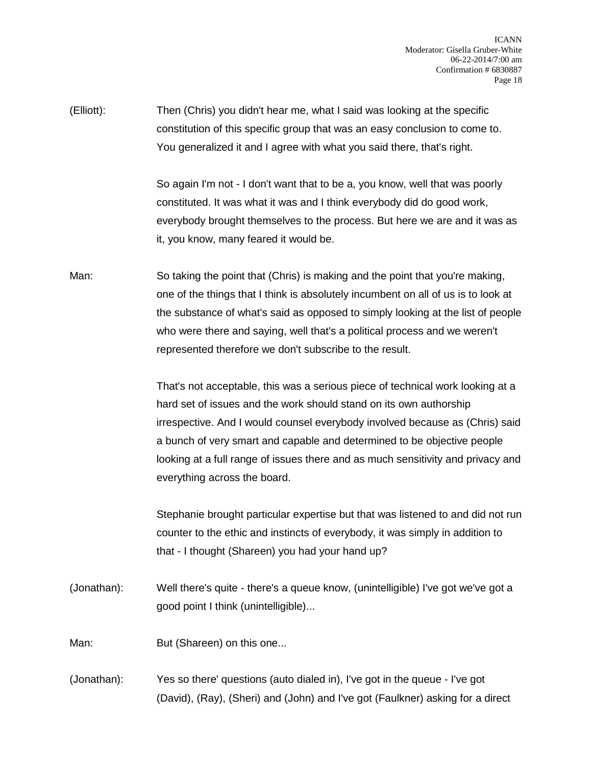(Elliott): Then (Chris) you didn't hear me, what I said was looking at the specific constitution of this specific group that was an easy conclusion to come to. You generalized it and I agree with what you said there, that's right.

> So again I'm not - I don't want that to be a, you know, well that was poorly constituted. It was what it was and I think everybody did do good work, everybody brought themselves to the process. But here we are and it was as it, you know, many feared it would be.

Man: So taking the point that (Chris) is making and the point that you're making, one of the things that I think is absolutely incumbent on all of us is to look at the substance of what's said as opposed to simply looking at the list of people who were there and saying, well that's a political process and we weren't represented therefore we don't subscribe to the result.

> That's not acceptable, this was a serious piece of technical work looking at a hard set of issues and the work should stand on its own authorship irrespective. And I would counsel everybody involved because as (Chris) said a bunch of very smart and capable and determined to be objective people looking at a full range of issues there and as much sensitivity and privacy and everything across the board.

> Stephanie brought particular expertise but that was listened to and did not run counter to the ethic and instincts of everybody, it was simply in addition to that - I thought (Shareen) you had your hand up?

(Jonathan): Well there's quite - there's a queue know, (unintelligible) I've got we've got a good point I think (unintelligible)...

Man: But (Shareen) on this one...

(Jonathan): Yes so there' questions (auto dialed in), I've got in the queue - I've got (David), (Ray), (Sheri) and (John) and I've got (Faulkner) asking for a direct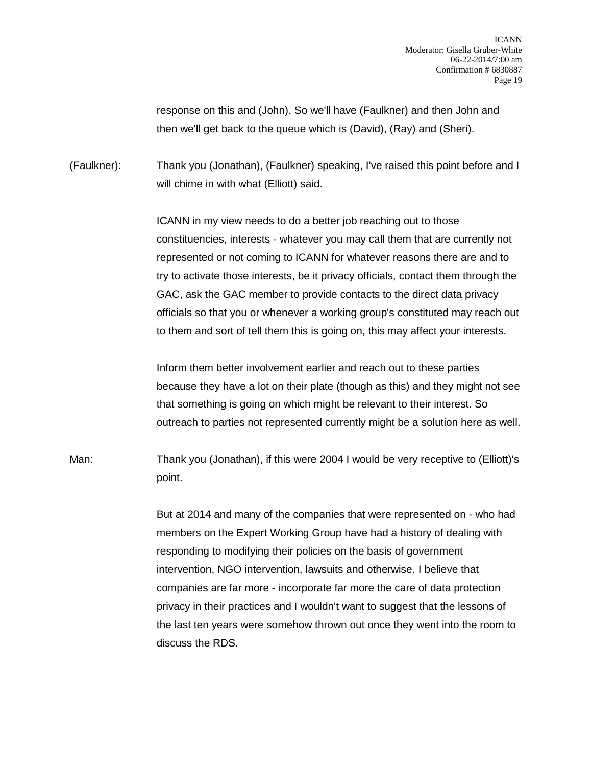response on this and (John). So we'll have (Faulkner) and then John and then we'll get back to the queue which is (David), (Ray) and (Sheri).

(Faulkner): Thank you (Jonathan), (Faulkner) speaking, I've raised this point before and I will chime in with what (Elliott) said.

> ICANN in my view needs to do a better job reaching out to those constituencies, interests - whatever you may call them that are currently not represented or not coming to ICANN for whatever reasons there are and to try to activate those interests, be it privacy officials, contact them through the GAC, ask the GAC member to provide contacts to the direct data privacy officials so that you or whenever a working group's constituted may reach out to them and sort of tell them this is going on, this may affect your interests.

> Inform them better involvement earlier and reach out to these parties because they have a lot on their plate (though as this) and they might not see that something is going on which might be relevant to their interest. So outreach to parties not represented currently might be a solution here as well.

Man: Thank you (Jonathan), if this were 2004 I would be very receptive to (Elliott)'s point.

> But at 2014 and many of the companies that were represented on - who had members on the Expert Working Group have had a history of dealing with responding to modifying their policies on the basis of government intervention, NGO intervention, lawsuits and otherwise. I believe that companies are far more - incorporate far more the care of data protection privacy in their practices and I wouldn't want to suggest that the lessons of the last ten years were somehow thrown out once they went into the room to discuss the RDS.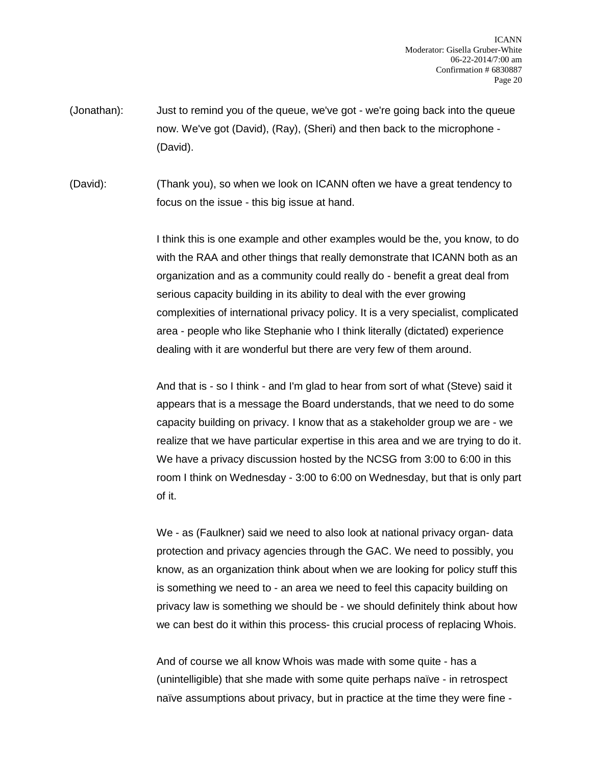(Jonathan): Just to remind you of the queue, we've got - we're going back into the queue now. We've got (David), (Ray), (Sheri) and then back to the microphone - (David).

(David): (Thank you), so when we look on ICANN often we have a great tendency to focus on the issue - this big issue at hand.

> I think this is one example and other examples would be the, you know, to do with the RAA and other things that really demonstrate that ICANN both as an organization and as a community could really do - benefit a great deal from serious capacity building in its ability to deal with the ever growing complexities of international privacy policy. It is a very specialist, complicated area - people who like Stephanie who I think literally (dictated) experience dealing with it are wonderful but there are very few of them around.

> And that is - so I think - and I'm glad to hear from sort of what (Steve) said it appears that is a message the Board understands, that we need to do some capacity building on privacy. I know that as a stakeholder group we are - we realize that we have particular expertise in this area and we are trying to do it. We have a privacy discussion hosted by the NCSG from 3:00 to 6:00 in this room I think on Wednesday - 3:00 to 6:00 on Wednesday, but that is only part of it.

We - as (Faulkner) said we need to also look at national privacy organ- data protection and privacy agencies through the GAC. We need to possibly, you know, as an organization think about when we are looking for policy stuff this is something we need to - an area we need to feel this capacity building on privacy law is something we should be - we should definitely think about how we can best do it within this process- this crucial process of replacing Whois.

And of course we all know Whois was made with some quite - has a (unintelligible) that she made with some quite perhaps naïve - in retrospect naïve assumptions about privacy, but in practice at the time they were fine -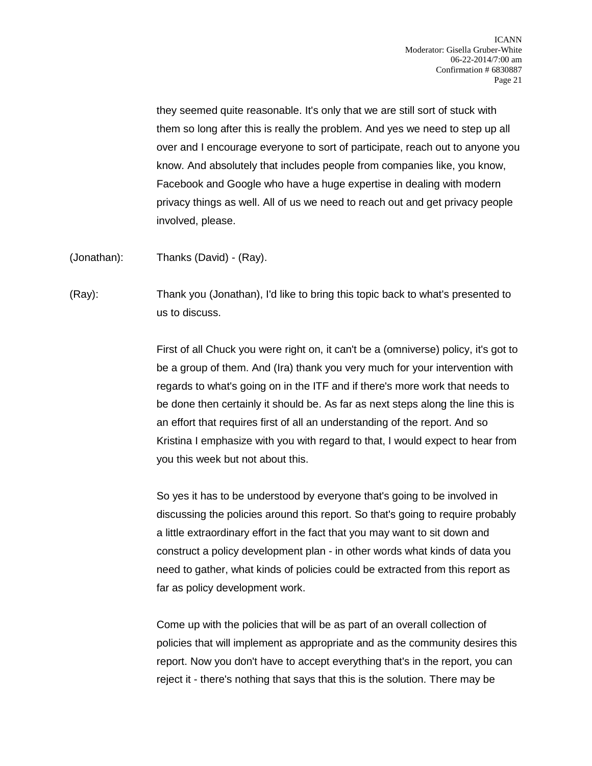they seemed quite reasonable. It's only that we are still sort of stuck with them so long after this is really the problem. And yes we need to step up all over and I encourage everyone to sort of participate, reach out to anyone you know. And absolutely that includes people from companies like, you know, Facebook and Google who have a huge expertise in dealing with modern privacy things as well. All of us we need to reach out and get privacy people involved, please.

(Jonathan): Thanks (David) - (Ray).

(Ray): Thank you (Jonathan), I'd like to bring this topic back to what's presented to us to discuss.

> First of all Chuck you were right on, it can't be a (omniverse) policy, it's got to be a group of them. And (Ira) thank you very much for your intervention with regards to what's going on in the ITF and if there's more work that needs to be done then certainly it should be. As far as next steps along the line this is an effort that requires first of all an understanding of the report. And so Kristina I emphasize with you with regard to that, I would expect to hear from you this week but not about this.

> So yes it has to be understood by everyone that's going to be involved in discussing the policies around this report. So that's going to require probably a little extraordinary effort in the fact that you may want to sit down and construct a policy development plan - in other words what kinds of data you need to gather, what kinds of policies could be extracted from this report as far as policy development work.

> Come up with the policies that will be as part of an overall collection of policies that will implement as appropriate and as the community desires this report. Now you don't have to accept everything that's in the report, you can reject it - there's nothing that says that this is the solution. There may be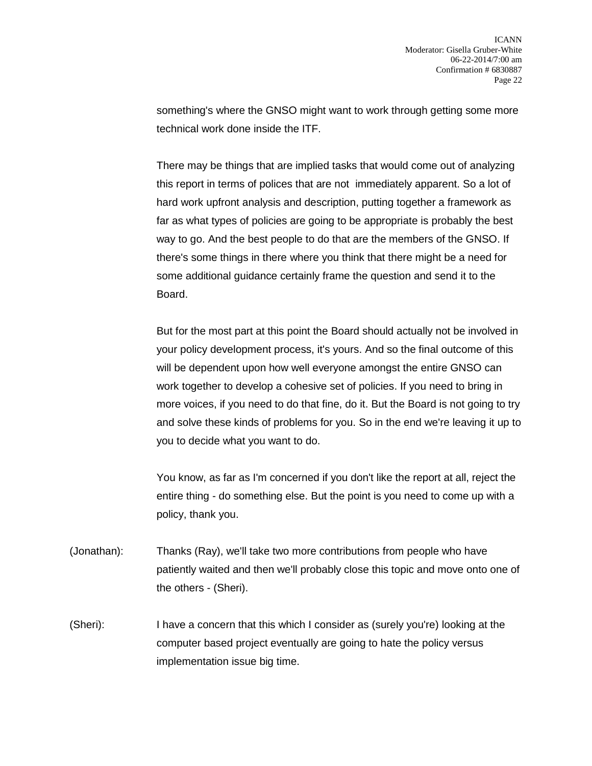something's where the GNSO might want to work through getting some more technical work done inside the ITF.

There may be things that are implied tasks that would come out of analyzing this report in terms of polices that are not immediately apparent. So a lot of hard work upfront analysis and description, putting together a framework as far as what types of policies are going to be appropriate is probably the best way to go. And the best people to do that are the members of the GNSO. If there's some things in there where you think that there might be a need for some additional guidance certainly frame the question and send it to the Board.

But for the most part at this point the Board should actually not be involved in your policy development process, it's yours. And so the final outcome of this will be dependent upon how well everyone amongst the entire GNSO can work together to develop a cohesive set of policies. If you need to bring in more voices, if you need to do that fine, do it. But the Board is not going to try and solve these kinds of problems for you. So in the end we're leaving it up to you to decide what you want to do.

You know, as far as I'm concerned if you don't like the report at all, reject the entire thing - do something else. But the point is you need to come up with a policy, thank you.

- (Jonathan): Thanks (Ray), we'll take two more contributions from people who have patiently waited and then we'll probably close this topic and move onto one of the others - (Sheri).
- (Sheri): I have a concern that this which I consider as (surely you're) looking at the computer based project eventually are going to hate the policy versus implementation issue big time.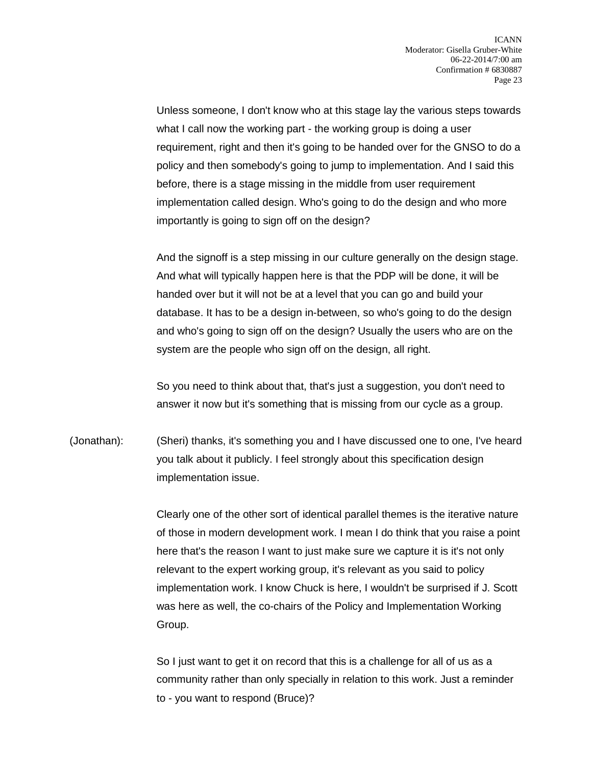Unless someone, I don't know who at this stage lay the various steps towards what I call now the working part - the working group is doing a user requirement, right and then it's going to be handed over for the GNSO to do a policy and then somebody's going to jump to implementation. And I said this before, there is a stage missing in the middle from user requirement implementation called design. Who's going to do the design and who more importantly is going to sign off on the design?

And the signoff is a step missing in our culture generally on the design stage. And what will typically happen here is that the PDP will be done, it will be handed over but it will not be at a level that you can go and build your database. It has to be a design in-between, so who's going to do the design and who's going to sign off on the design? Usually the users who are on the system are the people who sign off on the design, all right.

So you need to think about that, that's just a suggestion, you don't need to answer it now but it's something that is missing from our cycle as a group.

(Jonathan): (Sheri) thanks, it's something you and I have discussed one to one, I've heard you talk about it publicly. I feel strongly about this specification design implementation issue.

> Clearly one of the other sort of identical parallel themes is the iterative nature of those in modern development work. I mean I do think that you raise a point here that's the reason I want to just make sure we capture it is it's not only relevant to the expert working group, it's relevant as you said to policy implementation work. I know Chuck is here, I wouldn't be surprised if J. Scott was here as well, the co-chairs of the Policy and Implementation Working Group.

So I just want to get it on record that this is a challenge for all of us as a community rather than only specially in relation to this work. Just a reminder to - you want to respond (Bruce)?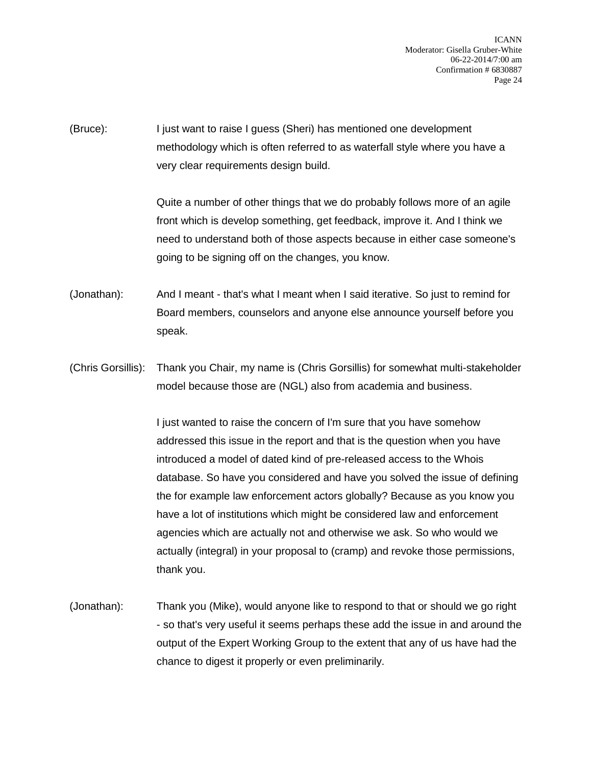ICANN Moderator: Gisella Gruber-White 06-22-2014/7:00 am Confirmation # 6830887 Page 24

(Bruce): I just want to raise I guess (Sheri) has mentioned one development methodology which is often referred to as waterfall style where you have a very clear requirements design build.

> Quite a number of other things that we do probably follows more of an agile front which is develop something, get feedback, improve it. And I think we need to understand both of those aspects because in either case someone's going to be signing off on the changes, you know.

(Jonathan): And I meant - that's what I meant when I said iterative. So just to remind for Board members, counselors and anyone else announce yourself before you speak.

(Chris Gorsillis): Thank you Chair, my name is (Chris Gorsillis) for somewhat multi-stakeholder model because those are (NGL) also from academia and business.

> I just wanted to raise the concern of I'm sure that you have somehow addressed this issue in the report and that is the question when you have introduced a model of dated kind of pre-released access to the Whois database. So have you considered and have you solved the issue of defining the for example law enforcement actors globally? Because as you know you have a lot of institutions which might be considered law and enforcement agencies which are actually not and otherwise we ask. So who would we actually (integral) in your proposal to (cramp) and revoke those permissions, thank you.

(Jonathan): Thank you (Mike), would anyone like to respond to that or should we go right - so that's very useful it seems perhaps these add the issue in and around the output of the Expert Working Group to the extent that any of us have had the chance to digest it properly or even preliminarily.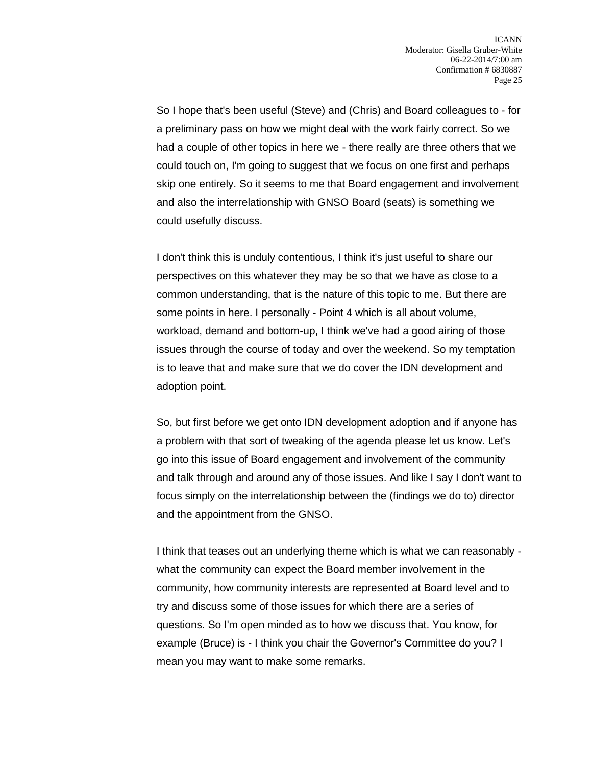So I hope that's been useful (Steve) and (Chris) and Board colleagues to - for a preliminary pass on how we might deal with the work fairly correct. So we had a couple of other topics in here we - there really are three others that we could touch on, I'm going to suggest that we focus on one first and perhaps skip one entirely. So it seems to me that Board engagement and involvement and also the interrelationship with GNSO Board (seats) is something we could usefully discuss.

I don't think this is unduly contentious, I think it's just useful to share our perspectives on this whatever they may be so that we have as close to a common understanding, that is the nature of this topic to me. But there are some points in here. I personally - Point 4 which is all about volume, workload, demand and bottom-up, I think we've had a good airing of those issues through the course of today and over the weekend. So my temptation is to leave that and make sure that we do cover the IDN development and adoption point.

So, but first before we get onto IDN development adoption and if anyone has a problem with that sort of tweaking of the agenda please let us know. Let's go into this issue of Board engagement and involvement of the community and talk through and around any of those issues. And like I say I don't want to focus simply on the interrelationship between the (findings we do to) director and the appointment from the GNSO.

I think that teases out an underlying theme which is what we can reasonably what the community can expect the Board member involvement in the community, how community interests are represented at Board level and to try and discuss some of those issues for which there are a series of questions. So I'm open minded as to how we discuss that. You know, for example (Bruce) is - I think you chair the Governor's Committee do you? I mean you may want to make some remarks.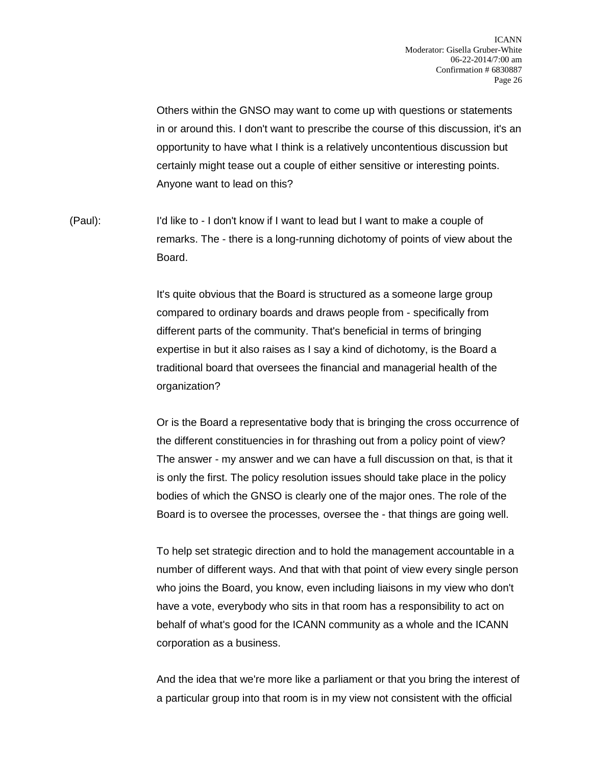Others within the GNSO may want to come up with questions or statements in or around this. I don't want to prescribe the course of this discussion, it's an opportunity to have what I think is a relatively uncontentious discussion but certainly might tease out a couple of either sensitive or interesting points. Anyone want to lead on this?

(Paul): I'd like to - I don't know if I want to lead but I want to make a couple of remarks. The - there is a long-running dichotomy of points of view about the Board.

> It's quite obvious that the Board is structured as a someone large group compared to ordinary boards and draws people from - specifically from different parts of the community. That's beneficial in terms of bringing expertise in but it also raises as I say a kind of dichotomy, is the Board a traditional board that oversees the financial and managerial health of the organization?

Or is the Board a representative body that is bringing the cross occurrence of the different constituencies in for thrashing out from a policy point of view? The answer - my answer and we can have a full discussion on that, is that it is only the first. The policy resolution issues should take place in the policy bodies of which the GNSO is clearly one of the major ones. The role of the Board is to oversee the processes, oversee the - that things are going well.

To help set strategic direction and to hold the management accountable in a number of different ways. And that with that point of view every single person who joins the Board, you know, even including liaisons in my view who don't have a vote, everybody who sits in that room has a responsibility to act on behalf of what's good for the ICANN community as a whole and the ICANN corporation as a business.

And the idea that we're more like a parliament or that you bring the interest of a particular group into that room is in my view not consistent with the official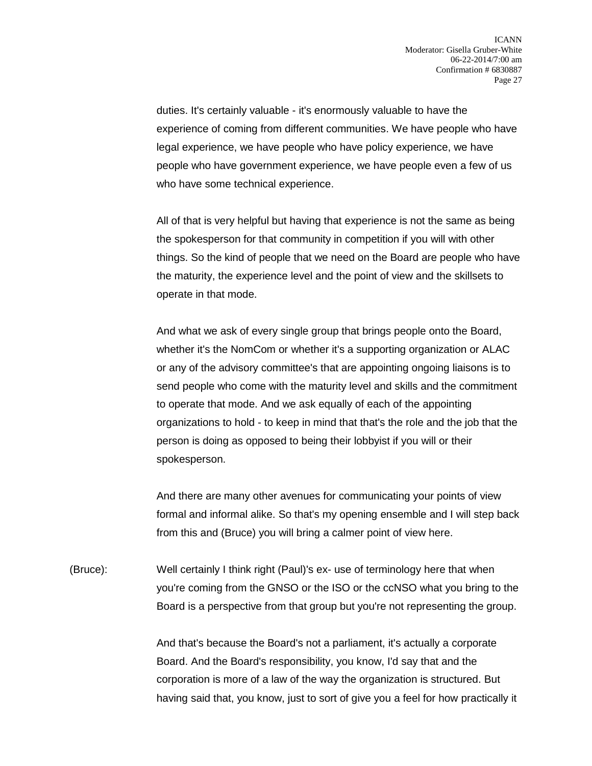duties. It's certainly valuable - it's enormously valuable to have the experience of coming from different communities. We have people who have legal experience, we have people who have policy experience, we have people who have government experience, we have people even a few of us who have some technical experience.

All of that is very helpful but having that experience is not the same as being the spokesperson for that community in competition if you will with other things. So the kind of people that we need on the Board are people who have the maturity, the experience level and the point of view and the skillsets to operate in that mode.

And what we ask of every single group that brings people onto the Board, whether it's the NomCom or whether it's a supporting organization or ALAC or any of the advisory committee's that are appointing ongoing liaisons is to send people who come with the maturity level and skills and the commitment to operate that mode. And we ask equally of each of the appointing organizations to hold - to keep in mind that that's the role and the job that the person is doing as opposed to being their lobbyist if you will or their spokesperson.

And there are many other avenues for communicating your points of view formal and informal alike. So that's my opening ensemble and I will step back from this and (Bruce) you will bring a calmer point of view here.

(Bruce): Well certainly I think right (Paul)'s ex- use of terminology here that when you're coming from the GNSO or the ISO or the ccNSO what you bring to the Board is a perspective from that group but you're not representing the group.

> And that's because the Board's not a parliament, it's actually a corporate Board. And the Board's responsibility, you know, I'd say that and the corporation is more of a law of the way the organization is structured. But having said that, you know, just to sort of give you a feel for how practically it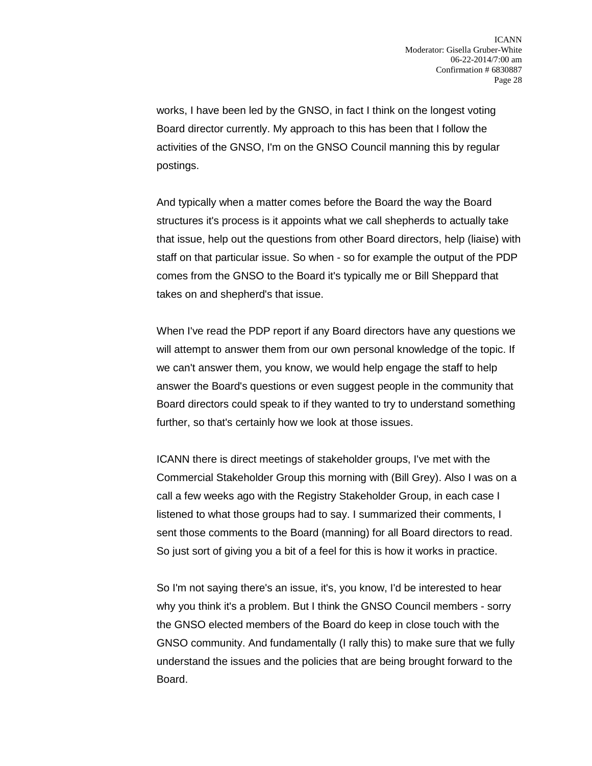works, I have been led by the GNSO, in fact I think on the longest voting Board director currently. My approach to this has been that I follow the activities of the GNSO, I'm on the GNSO Council manning this by regular postings.

And typically when a matter comes before the Board the way the Board structures it's process is it appoints what we call shepherds to actually take that issue, help out the questions from other Board directors, help (liaise) with staff on that particular issue. So when - so for example the output of the PDP comes from the GNSO to the Board it's typically me or Bill Sheppard that takes on and shepherd's that issue.

When I've read the PDP report if any Board directors have any questions we will attempt to answer them from our own personal knowledge of the topic. If we can't answer them, you know, we would help engage the staff to help answer the Board's questions or even suggest people in the community that Board directors could speak to if they wanted to try to understand something further, so that's certainly how we look at those issues.

ICANN there is direct meetings of stakeholder groups, I've met with the Commercial Stakeholder Group this morning with (Bill Grey). Also I was on a call a few weeks ago with the Registry Stakeholder Group, in each case I listened to what those groups had to say. I summarized their comments, I sent those comments to the Board (manning) for all Board directors to read. So just sort of giving you a bit of a feel for this is how it works in practice.

So I'm not saying there's an issue, it's, you know, I'd be interested to hear why you think it's a problem. But I think the GNSO Council members - sorry the GNSO elected members of the Board do keep in close touch with the GNSO community. And fundamentally (I rally this) to make sure that we fully understand the issues and the policies that are being brought forward to the Board.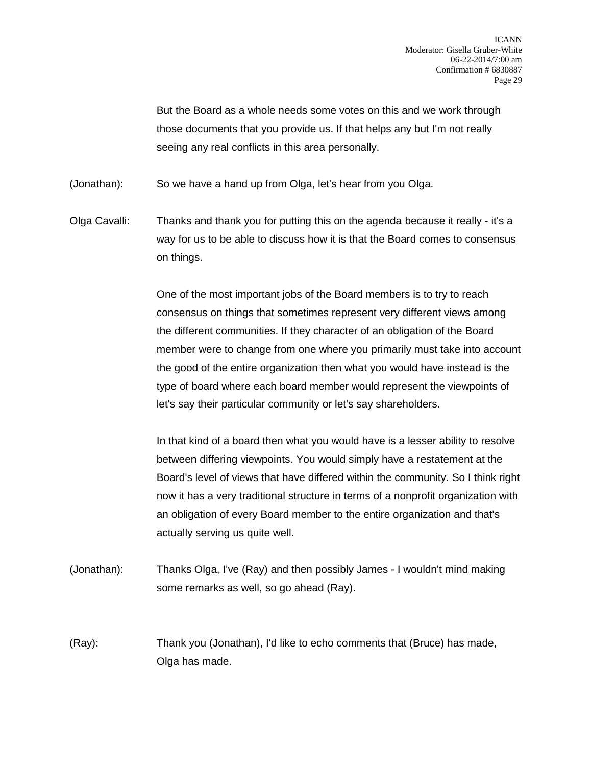But the Board as a whole needs some votes on this and we work through those documents that you provide us. If that helps any but I'm not really seeing any real conflicts in this area personally.

(Jonathan): So we have a hand up from Olga, let's hear from you Olga.

Olga Cavalli: Thanks and thank you for putting this on the agenda because it really - it's a way for us to be able to discuss how it is that the Board comes to consensus on things.

> One of the most important jobs of the Board members is to try to reach consensus on things that sometimes represent very different views among the different communities. If they character of an obligation of the Board member were to change from one where you primarily must take into account the good of the entire organization then what you would have instead is the type of board where each board member would represent the viewpoints of let's say their particular community or let's say shareholders.

> In that kind of a board then what you would have is a lesser ability to resolve between differing viewpoints. You would simply have a restatement at the Board's level of views that have differed within the community. So I think right now it has a very traditional structure in terms of a nonprofit organization with an obligation of every Board member to the entire organization and that's actually serving us quite well.

(Jonathan): Thanks Olga, I've (Ray) and then possibly James - I wouldn't mind making some remarks as well, so go ahead (Ray).

(Ray): Thank you (Jonathan), I'd like to echo comments that (Bruce) has made, Olga has made.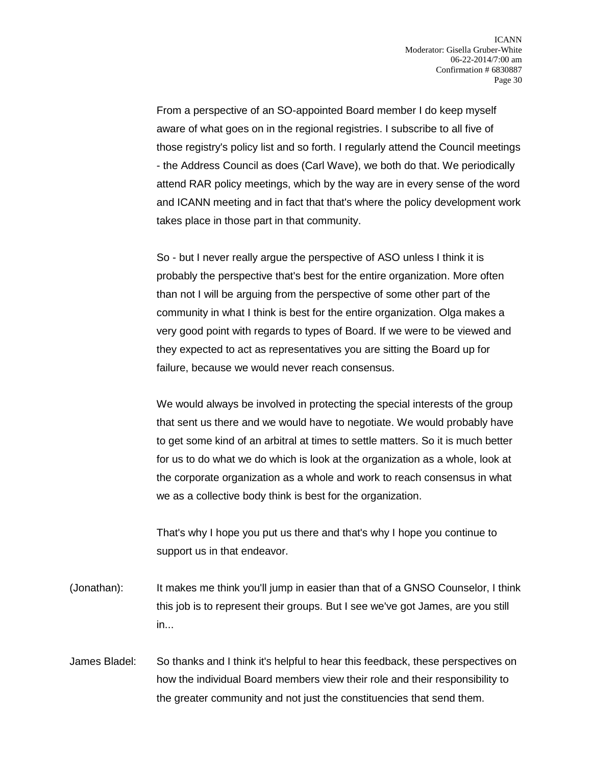From a perspective of an SO-appointed Board member I do keep myself aware of what goes on in the regional registries. I subscribe to all five of those registry's policy list and so forth. I regularly attend the Council meetings - the Address Council as does (Carl Wave), we both do that. We periodically attend RAR policy meetings, which by the way are in every sense of the word and ICANN meeting and in fact that that's where the policy development work takes place in those part in that community.

So - but I never really argue the perspective of ASO unless I think it is probably the perspective that's best for the entire organization. More often than not I will be arguing from the perspective of some other part of the community in what I think is best for the entire organization. Olga makes a very good point with regards to types of Board. If we were to be viewed and they expected to act as representatives you are sitting the Board up for failure, because we would never reach consensus.

We would always be involved in protecting the special interests of the group that sent us there and we would have to negotiate. We would probably have to get some kind of an arbitral at times to settle matters. So it is much better for us to do what we do which is look at the organization as a whole, look at the corporate organization as a whole and work to reach consensus in what we as a collective body think is best for the organization.

That's why I hope you put us there and that's why I hope you continue to support us in that endeavor.

- (Jonathan): It makes me think you'll jump in easier than that of a GNSO Counselor, I think this job is to represent their groups. But I see we've got James, are you still in...
- James Bladel: So thanks and I think it's helpful to hear this feedback, these perspectives on how the individual Board members view their role and their responsibility to the greater community and not just the constituencies that send them.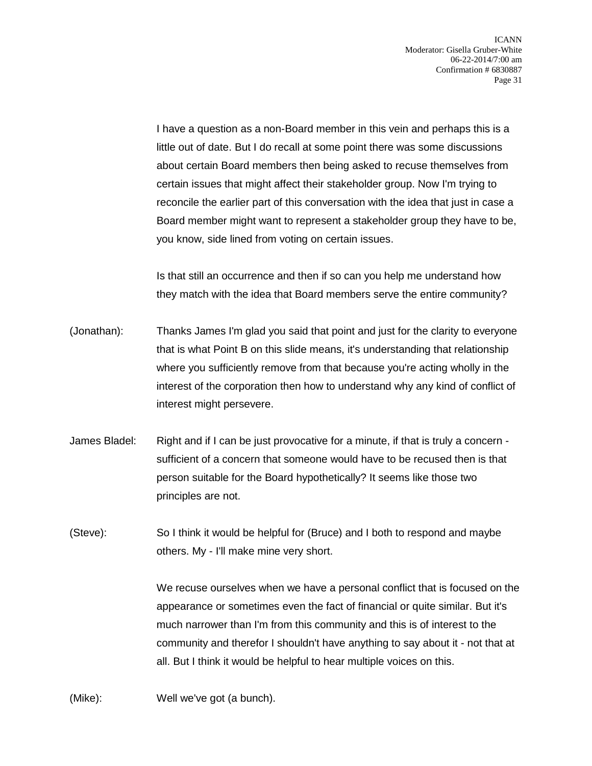I have a question as a non-Board member in this vein and perhaps this is a little out of date. But I do recall at some point there was some discussions about certain Board members then being asked to recuse themselves from certain issues that might affect their stakeholder group. Now I'm trying to reconcile the earlier part of this conversation with the idea that just in case a Board member might want to represent a stakeholder group they have to be, you know, side lined from voting on certain issues.

Is that still an occurrence and then if so can you help me understand how they match with the idea that Board members serve the entire community?

- (Jonathan): Thanks James I'm glad you said that point and just for the clarity to everyone that is what Point B on this slide means, it's understanding that relationship where you sufficiently remove from that because you're acting wholly in the interest of the corporation then how to understand why any kind of conflict of interest might persevere.
- James Bladel: Right and if I can be just provocative for a minute, if that is truly a concern sufficient of a concern that someone would have to be recused then is that person suitable for the Board hypothetically? It seems like those two principles are not.
- (Steve): So I think it would be helpful for (Bruce) and I both to respond and maybe others. My - I'll make mine very short.

We recuse ourselves when we have a personal conflict that is focused on the appearance or sometimes even the fact of financial or quite similar. But it's much narrower than I'm from this community and this is of interest to the community and therefor I shouldn't have anything to say about it - not that at all. But I think it would be helpful to hear multiple voices on this.

(Mike): Well we've got (a bunch).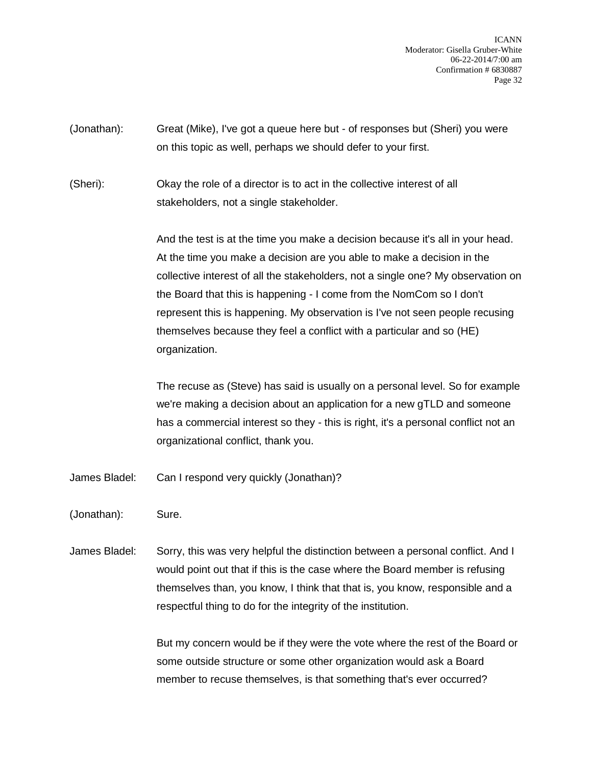ICANN Moderator: Gisella Gruber-White 06-22-2014/7:00 am Confirmation # 6830887 Page 32

(Jonathan): Great (Mike), I've got a queue here but - of responses but (Sheri) you were on this topic as well, perhaps we should defer to your first.

(Sheri): Okay the role of a director is to act in the collective interest of all stakeholders, not a single stakeholder.

> And the test is at the time you make a decision because it's all in your head. At the time you make a decision are you able to make a decision in the collective interest of all the stakeholders, not a single one? My observation on the Board that this is happening - I come from the NomCom so I don't represent this is happening. My observation is I've not seen people recusing themselves because they feel a conflict with a particular and so (HE) organization.

> The recuse as (Steve) has said is usually on a personal level. So for example we're making a decision about an application for a new gTLD and someone has a commercial interest so they - this is right, it's a personal conflict not an organizational conflict, thank you.

James Bladel: Can I respond very quickly (Jonathan)?

(Jonathan): Sure.

James Bladel: Sorry, this was very helpful the distinction between a personal conflict. And I would point out that if this is the case where the Board member is refusing themselves than, you know, I think that that is, you know, responsible and a respectful thing to do for the integrity of the institution.

> But my concern would be if they were the vote where the rest of the Board or some outside structure or some other organization would ask a Board member to recuse themselves, is that something that's ever occurred?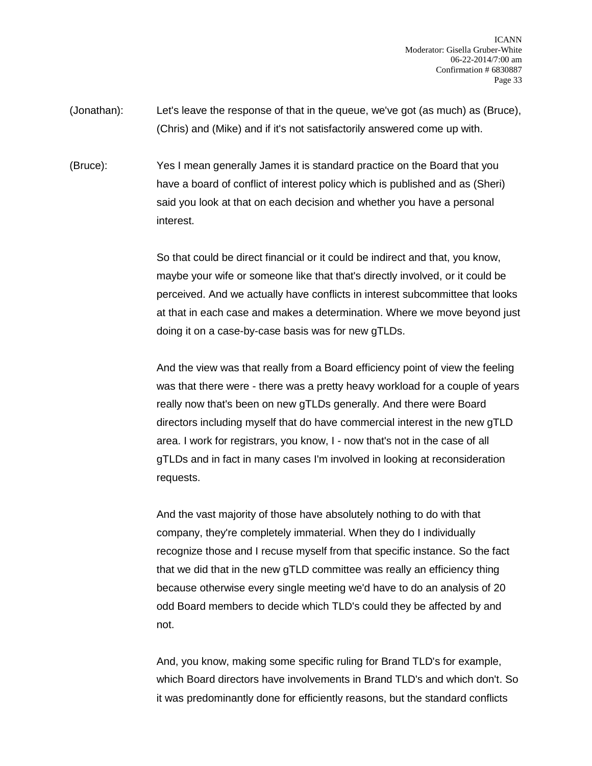- (Jonathan): Let's leave the response of that in the queue, we've got (as much) as (Bruce), (Chris) and (Mike) and if it's not satisfactorily answered come up with.
- (Bruce): Yes I mean generally James it is standard practice on the Board that you have a board of conflict of interest policy which is published and as (Sheri) said you look at that on each decision and whether you have a personal interest.

So that could be direct financial or it could be indirect and that, you know, maybe your wife or someone like that that's directly involved, or it could be perceived. And we actually have conflicts in interest subcommittee that looks at that in each case and makes a determination. Where we move beyond just doing it on a case-by-case basis was for new gTLDs.

And the view was that really from a Board efficiency point of view the feeling was that there were - there was a pretty heavy workload for a couple of years really now that's been on new gTLDs generally. And there were Board directors including myself that do have commercial interest in the new gTLD area. I work for registrars, you know, I - now that's not in the case of all gTLDs and in fact in many cases I'm involved in looking at reconsideration requests.

And the vast majority of those have absolutely nothing to do with that company, they're completely immaterial. When they do I individually recognize those and I recuse myself from that specific instance. So the fact that we did that in the new gTLD committee was really an efficiency thing because otherwise every single meeting we'd have to do an analysis of 20 odd Board members to decide which TLD's could they be affected by and not.

And, you know, making some specific ruling for Brand TLD's for example, which Board directors have involvements in Brand TLD's and which don't. So it was predominantly done for efficiently reasons, but the standard conflicts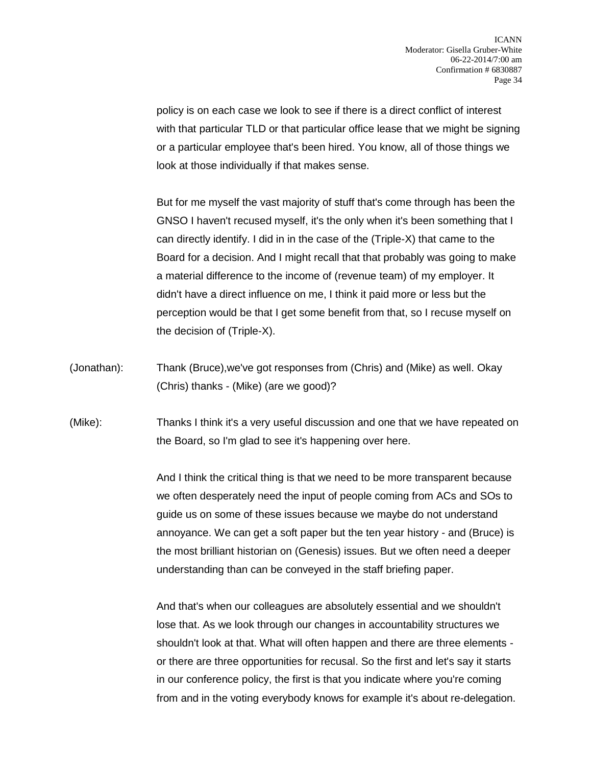policy is on each case we look to see if there is a direct conflict of interest with that particular TLD or that particular office lease that we might be signing or a particular employee that's been hired. You know, all of those things we look at those individually if that makes sense.

But for me myself the vast majority of stuff that's come through has been the GNSO I haven't recused myself, it's the only when it's been something that I can directly identify. I did in in the case of the (Triple-X) that came to the Board for a decision. And I might recall that that probably was going to make a material difference to the income of (revenue team) of my employer. It didn't have a direct influence on me, I think it paid more or less but the perception would be that I get some benefit from that, so I recuse myself on the decision of (Triple-X).

(Jonathan): Thank (Bruce),we've got responses from (Chris) and (Mike) as well. Okay (Chris) thanks - (Mike) (are we good)?

(Mike): Thanks I think it's a very useful discussion and one that we have repeated on the Board, so I'm glad to see it's happening over here.

> And I think the critical thing is that we need to be more transparent because we often desperately need the input of people coming from ACs and SOs to guide us on some of these issues because we maybe do not understand annoyance. We can get a soft paper but the ten year history - and (Bruce) is the most brilliant historian on (Genesis) issues. But we often need a deeper understanding than can be conveyed in the staff briefing paper.

> And that's when our colleagues are absolutely essential and we shouldn't lose that. As we look through our changes in accountability structures we shouldn't look at that. What will often happen and there are three elements or there are three opportunities for recusal. So the first and let's say it starts in our conference policy, the first is that you indicate where you're coming from and in the voting everybody knows for example it's about re-delegation.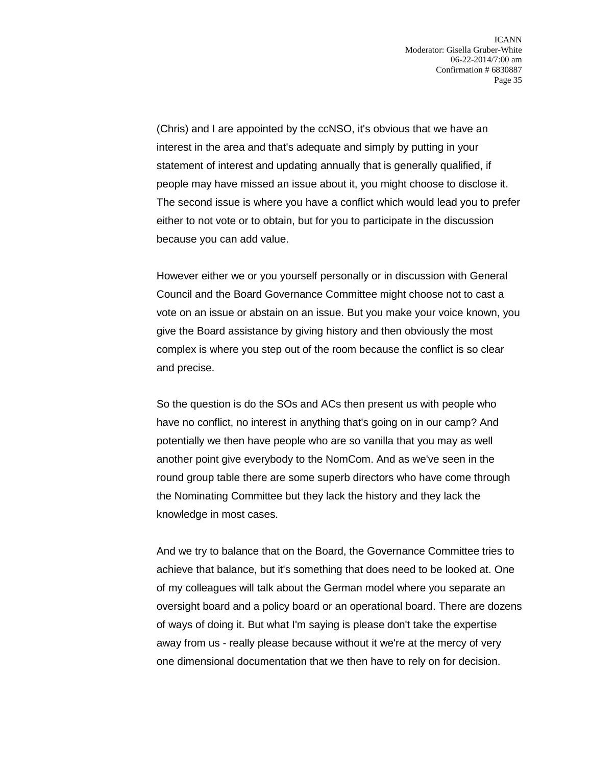(Chris) and I are appointed by the ccNSO, it's obvious that we have an interest in the area and that's adequate and simply by putting in your statement of interest and updating annually that is generally qualified, if people may have missed an issue about it, you might choose to disclose it. The second issue is where you have a conflict which would lead you to prefer either to not vote or to obtain, but for you to participate in the discussion because you can add value.

However either we or you yourself personally or in discussion with General Council and the Board Governance Committee might choose not to cast a vote on an issue or abstain on an issue. But you make your voice known, you give the Board assistance by giving history and then obviously the most complex is where you step out of the room because the conflict is so clear and precise.

So the question is do the SOs and ACs then present us with people who have no conflict, no interest in anything that's going on in our camp? And potentially we then have people who are so vanilla that you may as well another point give everybody to the NomCom. And as we've seen in the round group table there are some superb directors who have come through the Nominating Committee but they lack the history and they lack the knowledge in most cases.

And we try to balance that on the Board, the Governance Committee tries to achieve that balance, but it's something that does need to be looked at. One of my colleagues will talk about the German model where you separate an oversight board and a policy board or an operational board. There are dozens of ways of doing it. But what I'm saying is please don't take the expertise away from us - really please because without it we're at the mercy of very one dimensional documentation that we then have to rely on for decision.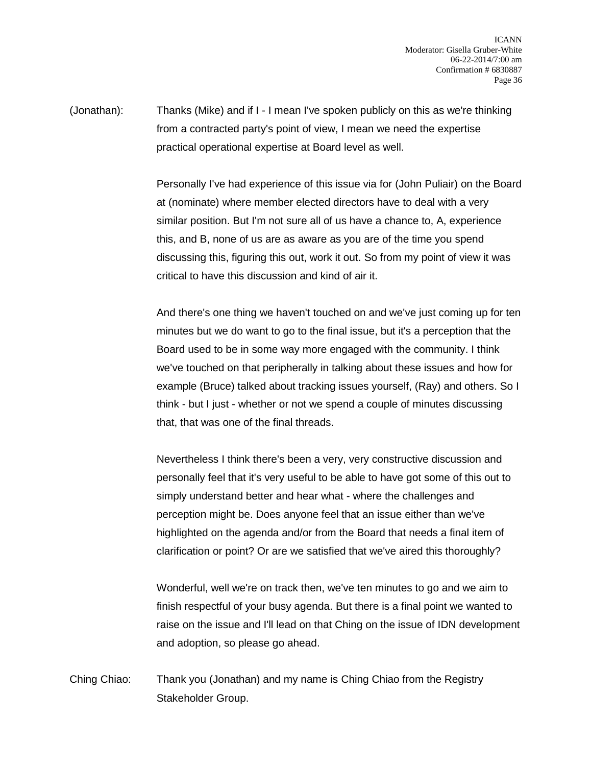ICANN Moderator: Gisella Gruber-White 06-22-2014/7:00 am Confirmation # 6830887 Page 36

(Jonathan): Thanks (Mike) and if I - I mean I've spoken publicly on this as we're thinking from a contracted party's point of view, I mean we need the expertise practical operational expertise at Board level as well.

> Personally I've had experience of this issue via for (John Puliair) on the Board at (nominate) where member elected directors have to deal with a very similar position. But I'm not sure all of us have a chance to, A, experience this, and B, none of us are as aware as you are of the time you spend discussing this, figuring this out, work it out. So from my point of view it was critical to have this discussion and kind of air it.

> And there's one thing we haven't touched on and we've just coming up for ten minutes but we do want to go to the final issue, but it's a perception that the Board used to be in some way more engaged with the community. I think we've touched on that peripherally in talking about these issues and how for example (Bruce) talked about tracking issues yourself, (Ray) and others. So I think - but I just - whether or not we spend a couple of minutes discussing that, that was one of the final threads.

Nevertheless I think there's been a very, very constructive discussion and personally feel that it's very useful to be able to have got some of this out to simply understand better and hear what - where the challenges and perception might be. Does anyone feel that an issue either than we've highlighted on the agenda and/or from the Board that needs a final item of clarification or point? Or are we satisfied that we've aired this thoroughly?

Wonderful, well we're on track then, we've ten minutes to go and we aim to finish respectful of your busy agenda. But there is a final point we wanted to raise on the issue and I'll lead on that Ching on the issue of IDN development and adoption, so please go ahead.

Ching Chiao: Thank you (Jonathan) and my name is Ching Chiao from the Registry Stakeholder Group.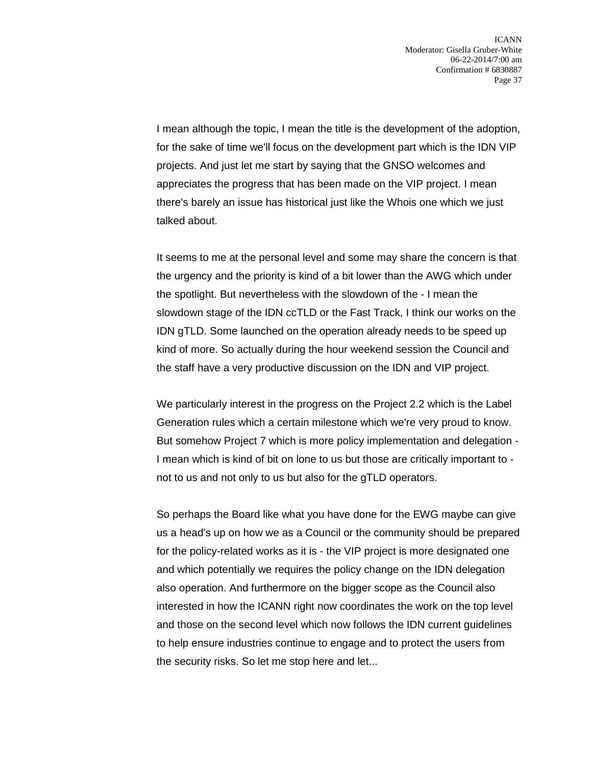I mean although the topic, I mean the title is the development of the adoption, for the sake of time we'll focus on the development part which is the IDN VIP projects. And just let me start by saying that the GNSO welcomes and appreciates the progress that has been made on the VIP project. I mean there's barely an issue has historical just like the Whois one which we just talked about.

It seems to me at the personal level and some may share the concern is that the urgency and the priority is kind of a bit lower than the AWG which under the spotlight. But nevertheless with the slowdown of the - I mean the slowdown stage of the IDN ccTLD or the Fast Track, I think our works on the IDN gTLD. Some launched on the operation already needs to be speed up kind of more. So actually during the hour weekend session the Council and the staff have a very productive discussion on the IDN and VIP project.

We particularly interest in the progress on the Project 2.2 which is the Label Generation rules which a certain milestone which we're very proud to know. But somehow Project 7 which is more policy implementation and delegation - I mean which is kind of bit on lone to us but those are critically important to not to us and not only to us but also for the gTLD operators.

So perhaps the Board like what you have done for the EWG maybe can give us a head's up on how we as a Council or the community should be prepared for the policy-related works as it is - the VIP project is more designated one and which potentially we requires the policy change on the IDN delegation also operation. And furthermore on the bigger scope as the Council also interested in how the ICANN right now coordinates the work on the top level and those on the second level which now follows the IDN current guidelines to help ensure industries continue to engage and to protect the users from the security risks. So let me stop here and let...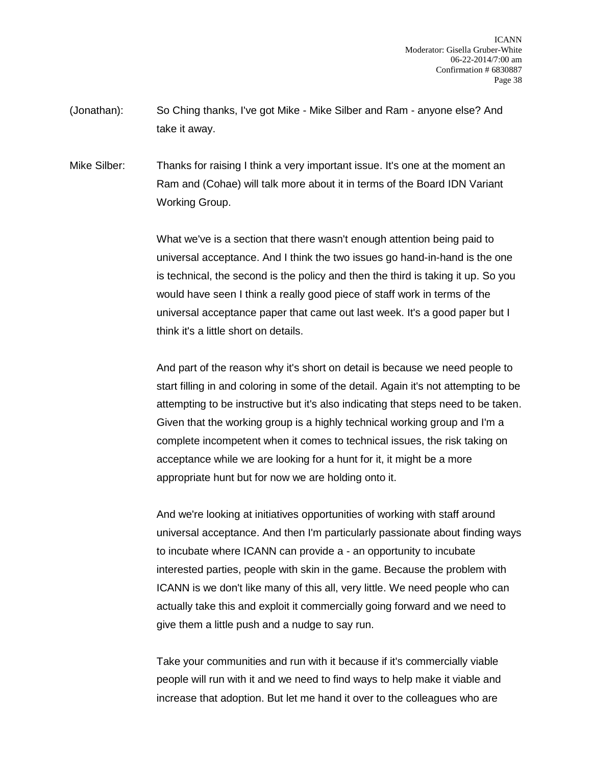(Jonathan): So Ching thanks, I've got Mike - Mike Silber and Ram - anyone else? And take it away.

Mike Silber: Thanks for raising I think a very important issue. It's one at the moment an Ram and (Cohae) will talk more about it in terms of the Board IDN Variant Working Group.

> What we've is a section that there wasn't enough attention being paid to universal acceptance. And I think the two issues go hand-in-hand is the one is technical, the second is the policy and then the third is taking it up. So you would have seen I think a really good piece of staff work in terms of the universal acceptance paper that came out last week. It's a good paper but I think it's a little short on details.

And part of the reason why it's short on detail is because we need people to start filling in and coloring in some of the detail. Again it's not attempting to be attempting to be instructive but it's also indicating that steps need to be taken. Given that the working group is a highly technical working group and I'm a complete incompetent when it comes to technical issues, the risk taking on acceptance while we are looking for a hunt for it, it might be a more appropriate hunt but for now we are holding onto it.

And we're looking at initiatives opportunities of working with staff around universal acceptance. And then I'm particularly passionate about finding ways to incubate where ICANN can provide a - an opportunity to incubate interested parties, people with skin in the game. Because the problem with ICANN is we don't like many of this all, very little. We need people who can actually take this and exploit it commercially going forward and we need to give them a little push and a nudge to say run.

Take your communities and run with it because if it's commercially viable people will run with it and we need to find ways to help make it viable and increase that adoption. But let me hand it over to the colleagues who are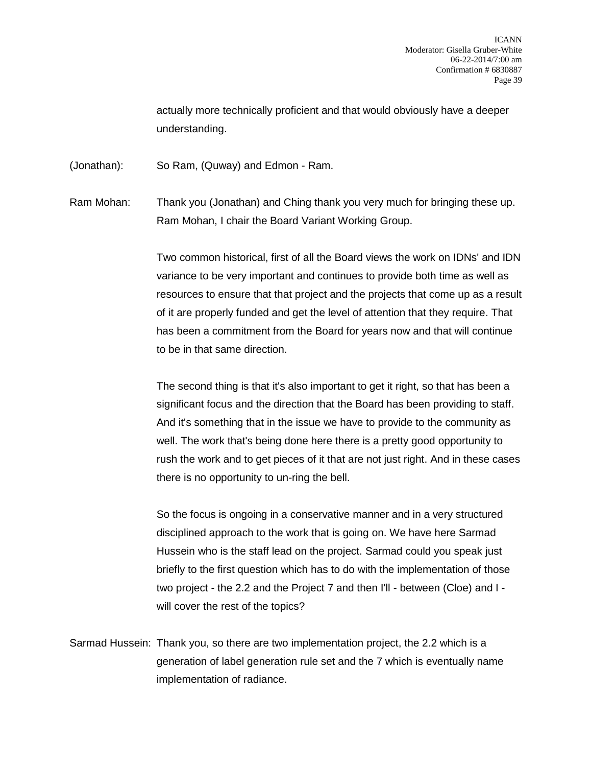actually more technically proficient and that would obviously have a deeper understanding.

(Jonathan): So Ram, (Quway) and Edmon - Ram.

Ram Mohan: Thank you (Jonathan) and Ching thank you very much for bringing these up. Ram Mohan, I chair the Board Variant Working Group.

> Two common historical, first of all the Board views the work on IDNs' and IDN variance to be very important and continues to provide both time as well as resources to ensure that that project and the projects that come up as a result of it are properly funded and get the level of attention that they require. That has been a commitment from the Board for years now and that will continue to be in that same direction.

> The second thing is that it's also important to get it right, so that has been a significant focus and the direction that the Board has been providing to staff. And it's something that in the issue we have to provide to the community as well. The work that's being done here there is a pretty good opportunity to rush the work and to get pieces of it that are not just right. And in these cases there is no opportunity to un-ring the bell.

So the focus is ongoing in a conservative manner and in a very structured disciplined approach to the work that is going on. We have here Sarmad Hussein who is the staff lead on the project. Sarmad could you speak just briefly to the first question which has to do with the implementation of those two project - the 2.2 and the Project 7 and then I'll - between (Cloe) and I will cover the rest of the topics?

Sarmad Hussein: Thank you, so there are two implementation project, the 2.2 which is a generation of label generation rule set and the 7 which is eventually name implementation of radiance.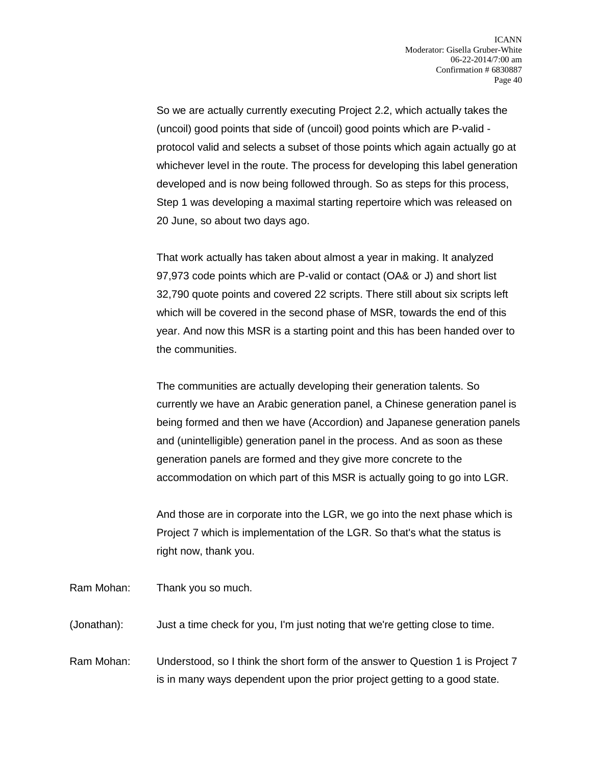So we are actually currently executing Project 2.2, which actually takes the (uncoil) good points that side of (uncoil) good points which are P-valid protocol valid and selects a subset of those points which again actually go at whichever level in the route. The process for developing this label generation developed and is now being followed through. So as steps for this process, Step 1 was developing a maximal starting repertoire which was released on 20 June, so about two days ago.

That work actually has taken about almost a year in making. It analyzed 97,973 code points which are P-valid or contact (OA& or J) and short list 32,790 quote points and covered 22 scripts. There still about six scripts left which will be covered in the second phase of MSR, towards the end of this year. And now this MSR is a starting point and this has been handed over to the communities.

The communities are actually developing their generation talents. So currently we have an Arabic generation panel, a Chinese generation panel is being formed and then we have (Accordion) and Japanese generation panels and (unintelligible) generation panel in the process. And as soon as these generation panels are formed and they give more concrete to the accommodation on which part of this MSR is actually going to go into LGR.

And those are in corporate into the LGR, we go into the next phase which is Project 7 which is implementation of the LGR. So that's what the status is right now, thank you.

Ram Mohan: Thank you so much.

(Jonathan): Just a time check for you, I'm just noting that we're getting close to time.

Ram Mohan: Understood, so I think the short form of the answer to Question 1 is Project 7 is in many ways dependent upon the prior project getting to a good state.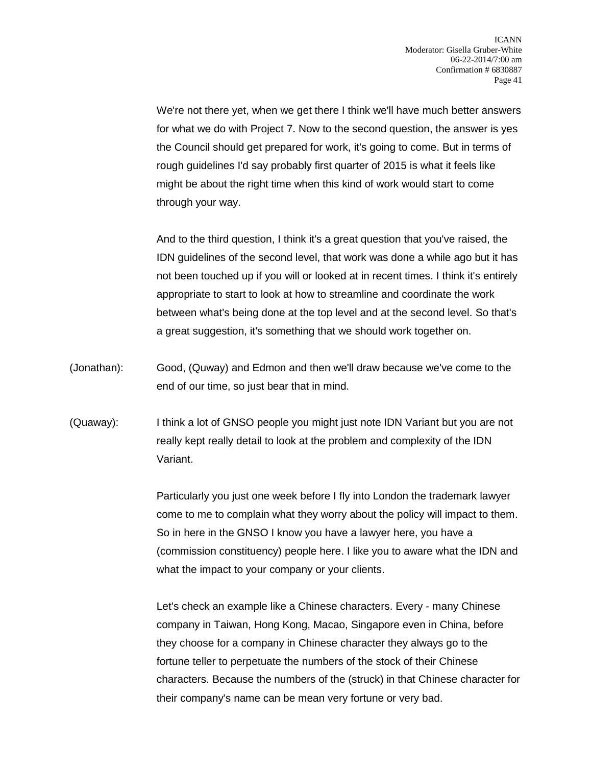We're not there yet, when we get there I think we'll have much better answers for what we do with Project 7. Now to the second question, the answer is yes the Council should get prepared for work, it's going to come. But in terms of rough guidelines I'd say probably first quarter of 2015 is what it feels like might be about the right time when this kind of work would start to come through your way.

And to the third question, I think it's a great question that you've raised, the IDN guidelines of the second level, that work was done a while ago but it has not been touched up if you will or looked at in recent times. I think it's entirely appropriate to start to look at how to streamline and coordinate the work between what's being done at the top level and at the second level. So that's a great suggestion, it's something that we should work together on.

- (Jonathan): Good, (Quway) and Edmon and then we'll draw because we've come to the end of our time, so just bear that in mind.
- (Quaway): I think a lot of GNSO people you might just note IDN Variant but you are not really kept really detail to look at the problem and complexity of the IDN Variant.

Particularly you just one week before I fly into London the trademark lawyer come to me to complain what they worry about the policy will impact to them. So in here in the GNSO I know you have a lawyer here, you have a (commission constituency) people here. I like you to aware what the IDN and what the impact to your company or your clients.

Let's check an example like a Chinese characters. Every - many Chinese company in Taiwan, Hong Kong, Macao, Singapore even in China, before they choose for a company in Chinese character they always go to the fortune teller to perpetuate the numbers of the stock of their Chinese characters. Because the numbers of the (struck) in that Chinese character for their company's name can be mean very fortune or very bad.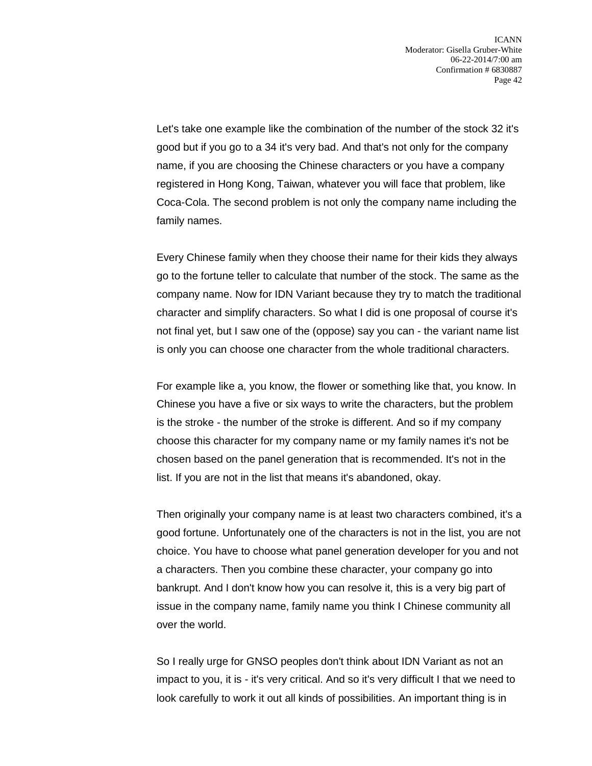Let's take one example like the combination of the number of the stock 32 it's good but if you go to a 34 it's very bad. And that's not only for the company name, if you are choosing the Chinese characters or you have a company registered in Hong Kong, Taiwan, whatever you will face that problem, like Coca-Cola. The second problem is not only the company name including the family names.

Every Chinese family when they choose their name for their kids they always go to the fortune teller to calculate that number of the stock. The same as the company name. Now for IDN Variant because they try to match the traditional character and simplify characters. So what I did is one proposal of course it's not final yet, but I saw one of the (oppose) say you can - the variant name list is only you can choose one character from the whole traditional characters.

For example like a, you know, the flower or something like that, you know. In Chinese you have a five or six ways to write the characters, but the problem is the stroke - the number of the stroke is different. And so if my company choose this character for my company name or my family names it's not be chosen based on the panel generation that is recommended. It's not in the list. If you are not in the list that means it's abandoned, okay.

Then originally your company name is at least two characters combined, it's a good fortune. Unfortunately one of the characters is not in the list, you are not choice. You have to choose what panel generation developer for you and not a characters. Then you combine these character, your company go into bankrupt. And I don't know how you can resolve it, this is a very big part of issue in the company name, family name you think I Chinese community all over the world.

So I really urge for GNSO peoples don't think about IDN Variant as not an impact to you, it is - it's very critical. And so it's very difficult I that we need to look carefully to work it out all kinds of possibilities. An important thing is in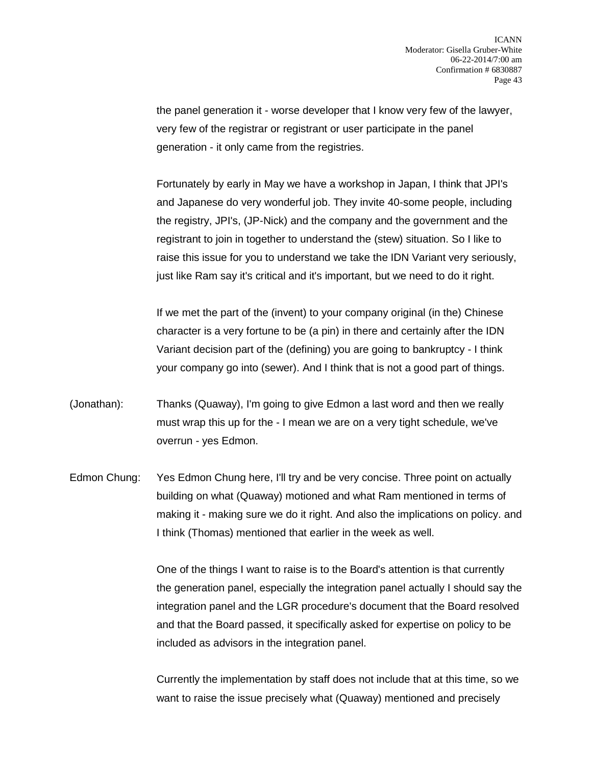the panel generation it - worse developer that I know very few of the lawyer, very few of the registrar or registrant or user participate in the panel generation - it only came from the registries.

Fortunately by early in May we have a workshop in Japan, I think that JPI's and Japanese do very wonderful job. They invite 40-some people, including the registry, JPI's, (JP-Nick) and the company and the government and the registrant to join in together to understand the (stew) situation. So I like to raise this issue for you to understand we take the IDN Variant very seriously, just like Ram say it's critical and it's important, but we need to do it right.

If we met the part of the (invent) to your company original (in the) Chinese character is a very fortune to be (a pin) in there and certainly after the IDN Variant decision part of the (defining) you are going to bankruptcy - I think your company go into (sewer). And I think that is not a good part of things.

- (Jonathan): Thanks (Quaway), I'm going to give Edmon a last word and then we really must wrap this up for the - I mean we are on a very tight schedule, we've overrun - yes Edmon.
- Edmon Chung: Yes Edmon Chung here, I'll try and be very concise. Three point on actually building on what (Quaway) motioned and what Ram mentioned in terms of making it - making sure we do it right. And also the implications on policy. and I think (Thomas) mentioned that earlier in the week as well.

One of the things I want to raise is to the Board's attention is that currently the generation panel, especially the integration panel actually I should say the integration panel and the LGR procedure's document that the Board resolved and that the Board passed, it specifically asked for expertise on policy to be included as advisors in the integration panel.

Currently the implementation by staff does not include that at this time, so we want to raise the issue precisely what (Quaway) mentioned and precisely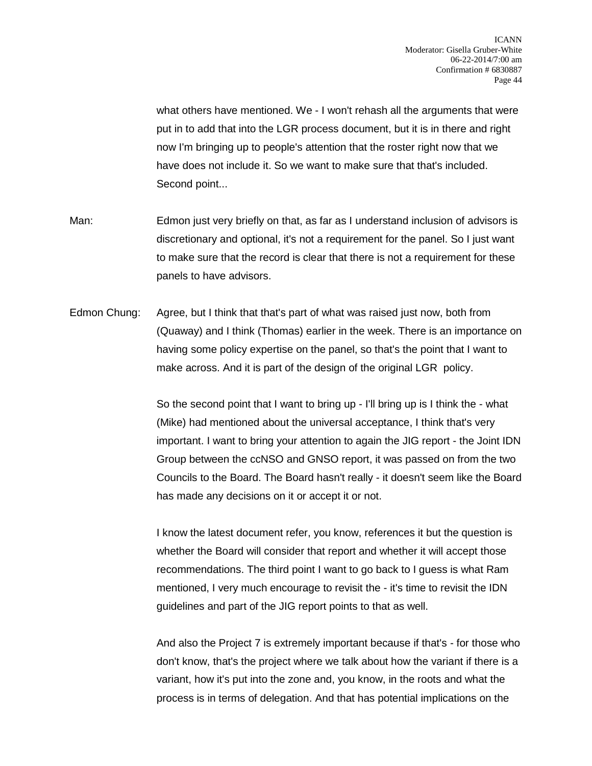what others have mentioned. We - I won't rehash all the arguments that were put in to add that into the LGR process document, but it is in there and right now I'm bringing up to people's attention that the roster right now that we have does not include it. So we want to make sure that that's included. Second point...

Man: Edmon just very briefly on that, as far as I understand inclusion of advisors is discretionary and optional, it's not a requirement for the panel. So I just want to make sure that the record is clear that there is not a requirement for these panels to have advisors.

Edmon Chung: Agree, but I think that that's part of what was raised just now, both from (Quaway) and I think (Thomas) earlier in the week. There is an importance on having some policy expertise on the panel, so that's the point that I want to make across. And it is part of the design of the original LGR policy.

> So the second point that I want to bring up - I'll bring up is I think the - what (Mike) had mentioned about the universal acceptance, I think that's very important. I want to bring your attention to again the JIG report - the Joint IDN Group between the ccNSO and GNSO report, it was passed on from the two Councils to the Board. The Board hasn't really - it doesn't seem like the Board has made any decisions on it or accept it or not.

I know the latest document refer, you know, references it but the question is whether the Board will consider that report and whether it will accept those recommendations. The third point I want to go back to I guess is what Ram mentioned, I very much encourage to revisit the - it's time to revisit the IDN guidelines and part of the JIG report points to that as well.

And also the Project 7 is extremely important because if that's - for those who don't know, that's the project where we talk about how the variant if there is a variant, how it's put into the zone and, you know, in the roots and what the process is in terms of delegation. And that has potential implications on the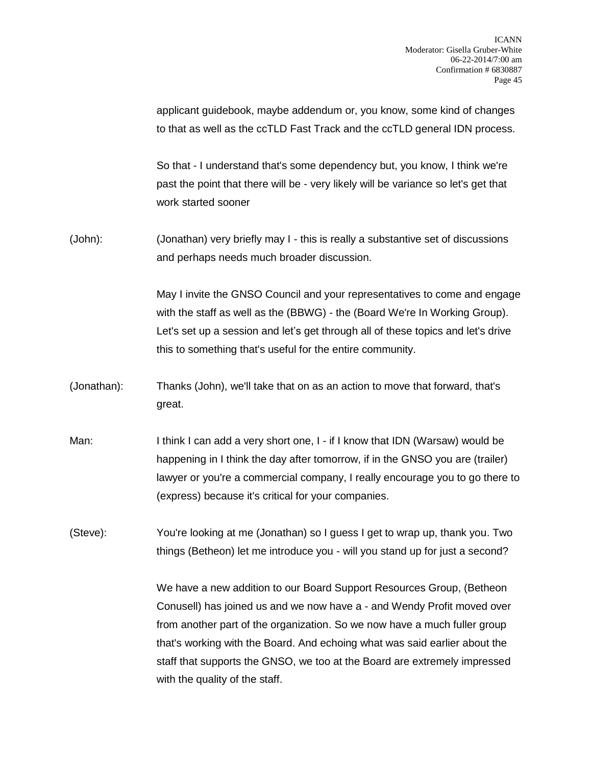applicant guidebook, maybe addendum or, you know, some kind of changes to that as well as the ccTLD Fast Track and the ccTLD general IDN process.

So that - I understand that's some dependency but, you know, I think we're past the point that there will be - very likely will be variance so let's get that work started sooner

(John): (Jonathan) very briefly may I - this is really a substantive set of discussions and perhaps needs much broader discussion.

> May I invite the GNSO Council and your representatives to come and engage with the staff as well as the (BBWG) - the (Board We're In Working Group). Let's set up a session and let's get through all of these topics and let's drive this to something that's useful for the entire community.

- (Jonathan): Thanks (John), we'll take that on as an action to move that forward, that's great.
- Man: I think I can add a very short one, I if I know that IDN (Warsaw) would be happening in I think the day after tomorrow, if in the GNSO you are (trailer) lawyer or you're a commercial company, I really encourage you to go there to (express) because it's critical for your companies.
- (Steve): You're looking at me (Jonathan) so I guess I get to wrap up, thank you. Two things (Betheon) let me introduce you - will you stand up for just a second?

We have a new addition to our Board Support Resources Group, (Betheon Conusell) has joined us and we now have a - and Wendy Profit moved over from another part of the organization. So we now have a much fuller group that's working with the Board. And echoing what was said earlier about the staff that supports the GNSO, we too at the Board are extremely impressed with the quality of the staff.